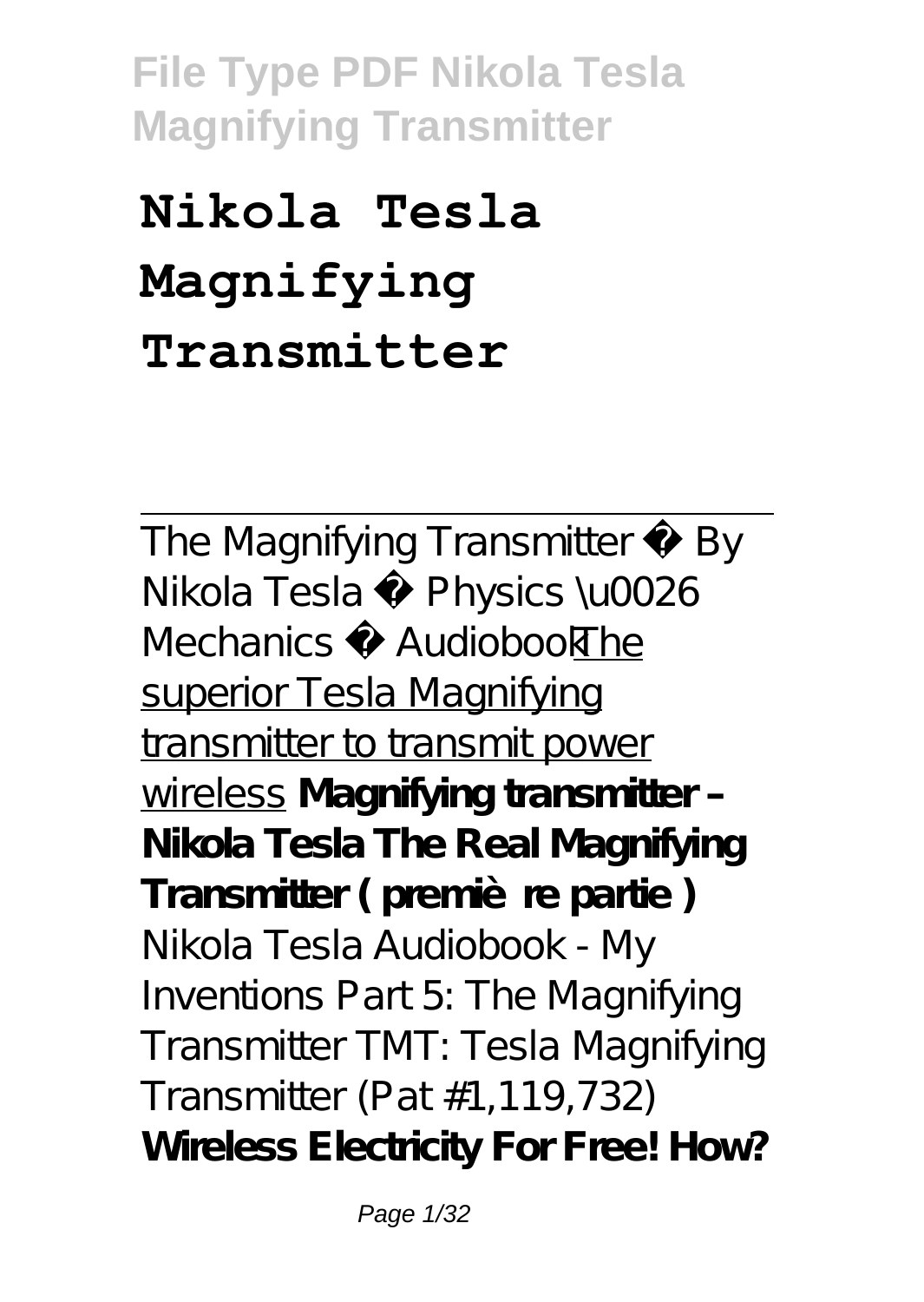# **Nikola Tesla Magnifying Transmitter**

The Magnifying Transmitter By Nikola Tesla ♦ Physics \u0026 Mechanics AudiobookThe superior Tesla Magnifying transmitter to transmit power wireless **Magnifying transmitter – Nikola Tesla The Real Magnifying** Transmitter (première partie) Nikola Tesla Audiobook - My Inventions Part 5: The Magnifying Transmitter *TMT: Tesla Magnifying Transmitter (Pat #1,119,732)* **Wireless Electricity For Free! How?**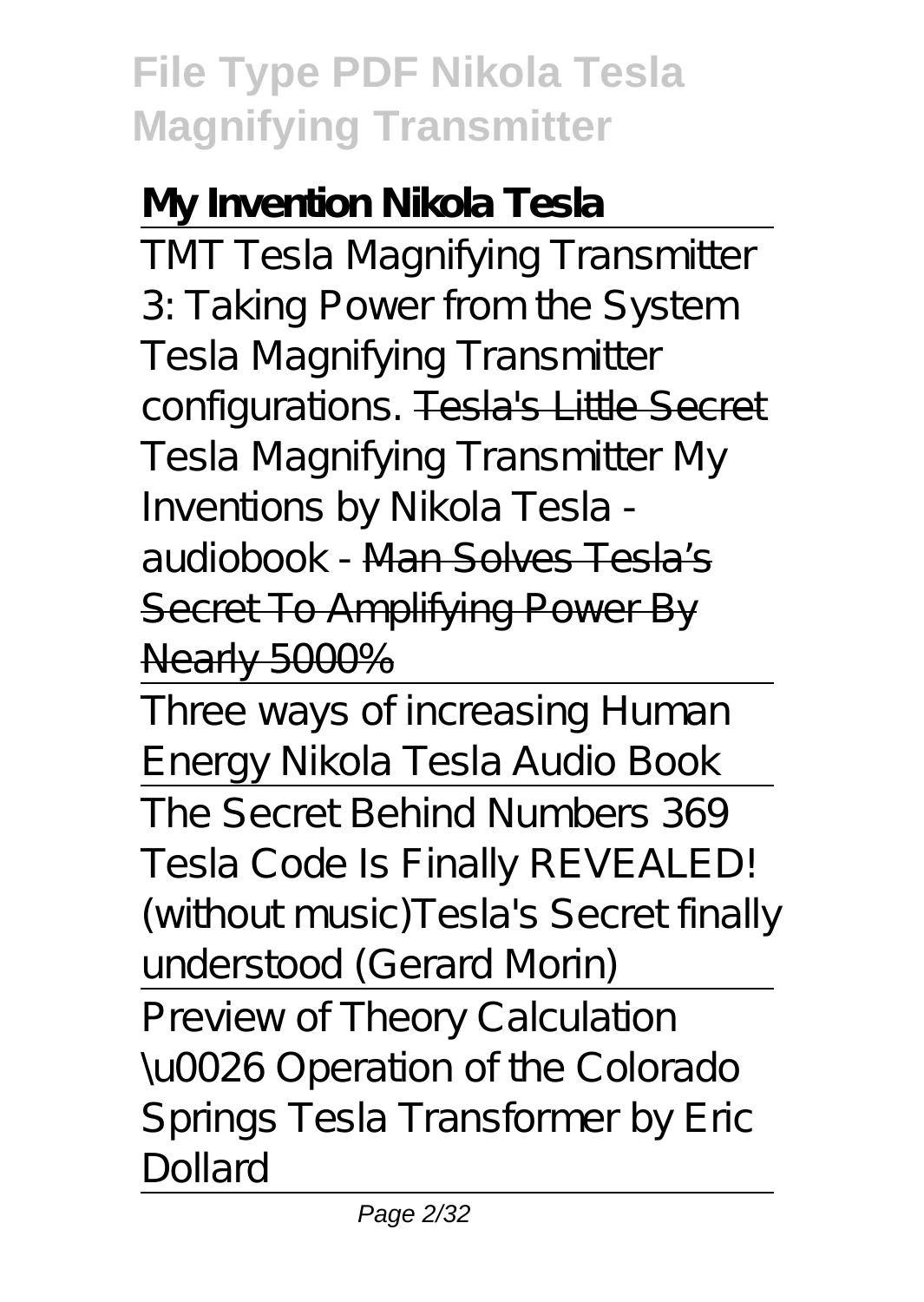#### **My Invention Nikola Tesla**

TMT Tesla Magnifying Transmitter 3: Taking Power from the System Tesla Magnifying Transmitter configurations. Tesla's Little Secret *Tesla Magnifying Transmitter My Inventions by Nikola Tesla audiobook -* Man Solves Tesla's Secret To Amplifying Power By Nearly 5000%

Three ways of increasing Human Energy Nikola Tesla Audio Book The Secret Behind Numbers 369 Tesla Code Is Finally REVEALED! (without music)*Tesla's Secret finally understood (Gerard Morin)*

Preview of Theory Calculation \u0026 Operation of the Colorado Springs Tesla Transformer by Eric Dollard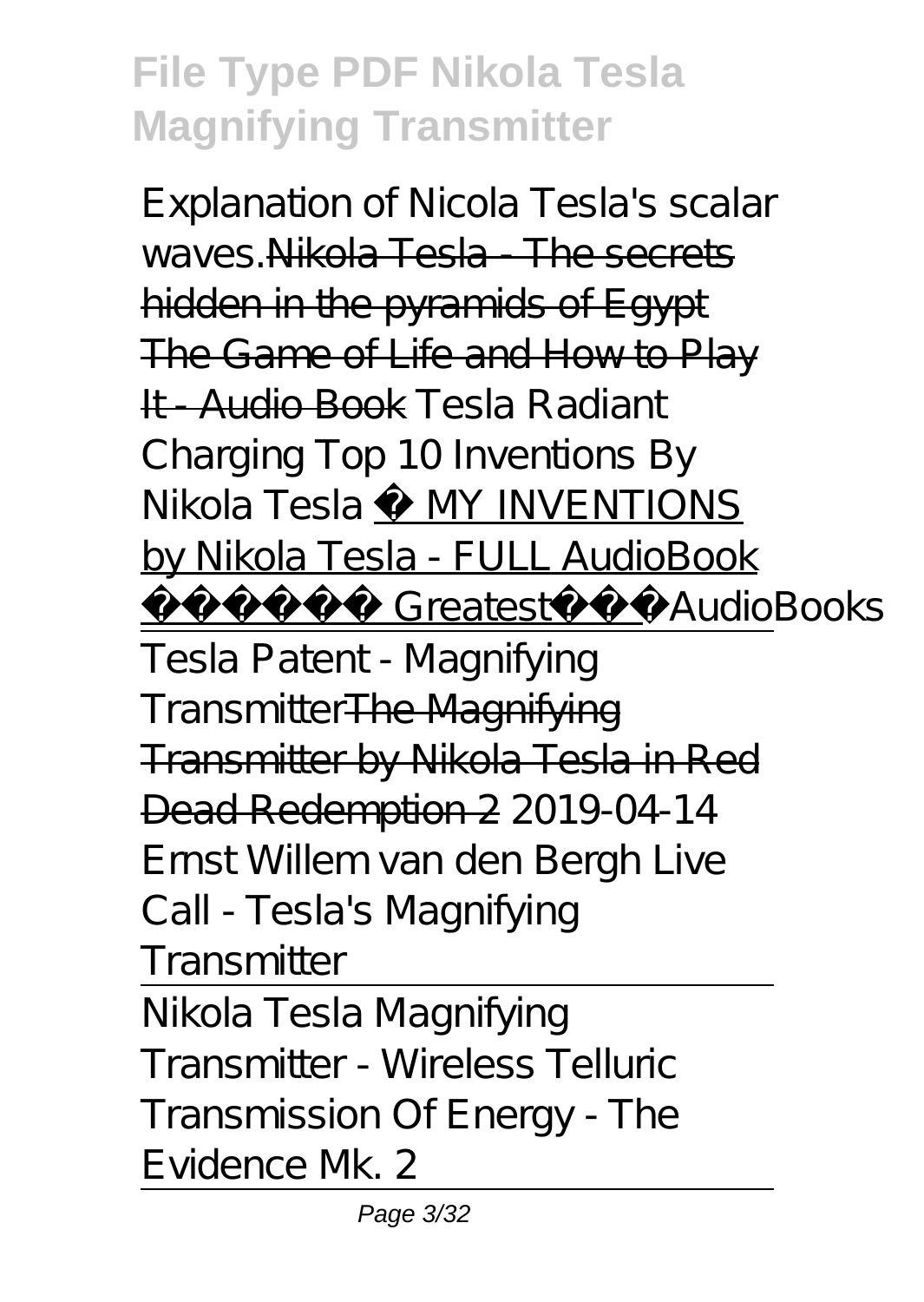Explanation of Nicola Tesla's scalar waves Nikola Tesla - The secrets hidden in the pyramids of Egypt The Game of Life and How to Play It - Audio Book *Tesla Radiant Charging Top 10 Inventions By Nikola Tesla* ⚡ MY INVENTIONS by Nikola Tesla - FULL AudioBook Greatest AudioBooks Tesla Patent - Magnifying TransmitterThe Magnifying Transmitter by Nikola Tesla in Red Dead Redemption 2 *2019-04-14 Ernst Willem van den Bergh Live Call - Tesla's Magnifying Transmitter*

Nikola Tesla Magnifying Transmitter - Wireless Telluric Transmission Of Energy - The Evidence Mk. 2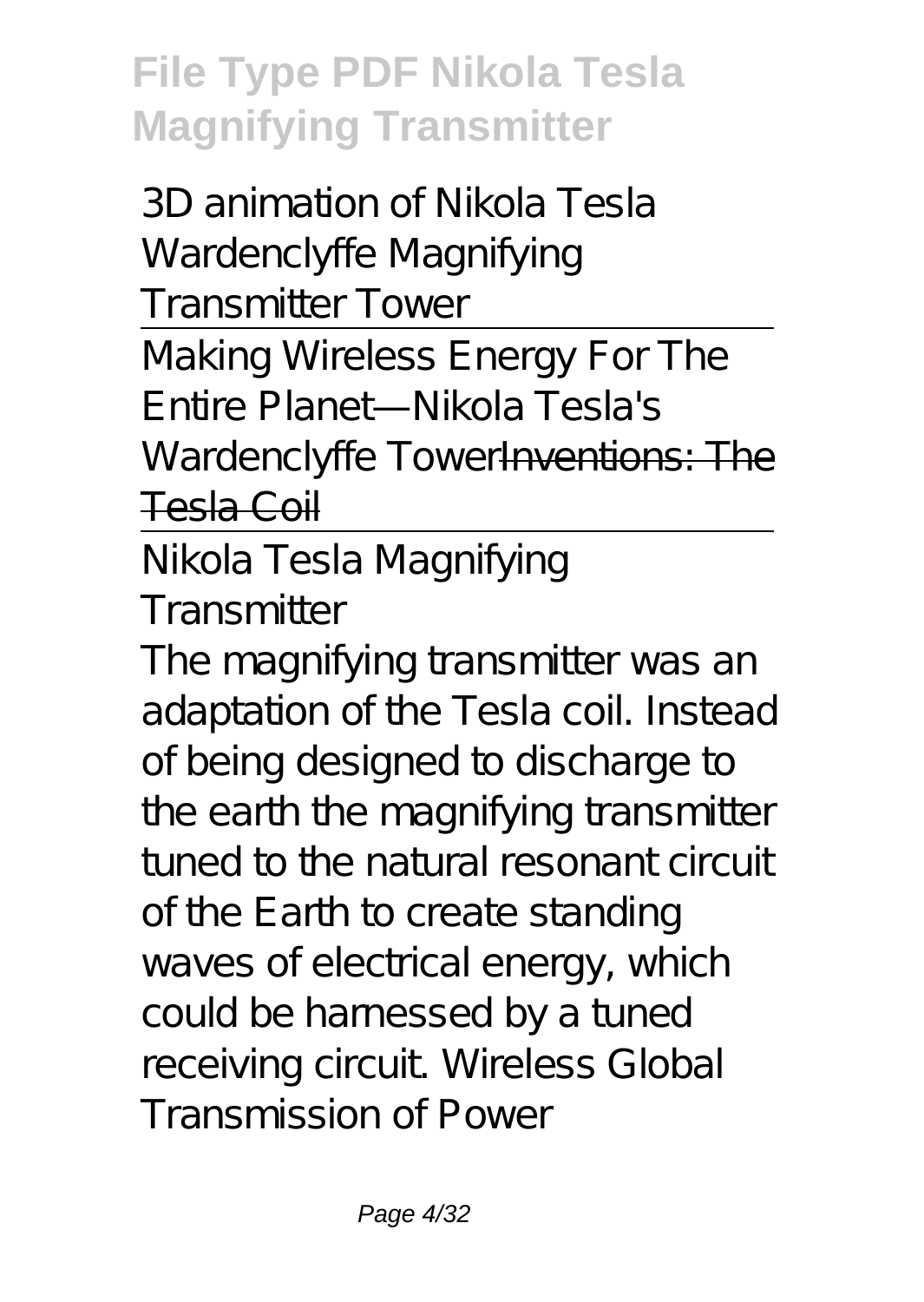3D animation of Nikola Tesla Wardenclyffe Magnifying Transmitter Tower Making Wireless Energy For The Entire Planet—Nikola Tesla's

Wardenclyffe TowerInventions: The Tesla Coil

Nikola Tesla Magnifying **Transmitter** 

The magnifying transmitter was an adaptation of the Tesla coil. Instead of being designed to discharge to the earth the magnifying transmitter tuned to the natural resonant circuit of the Earth to create standing waves of electrical energy, which could be harnessed by a tuned receiving circuit. Wireless Global Transmission of Power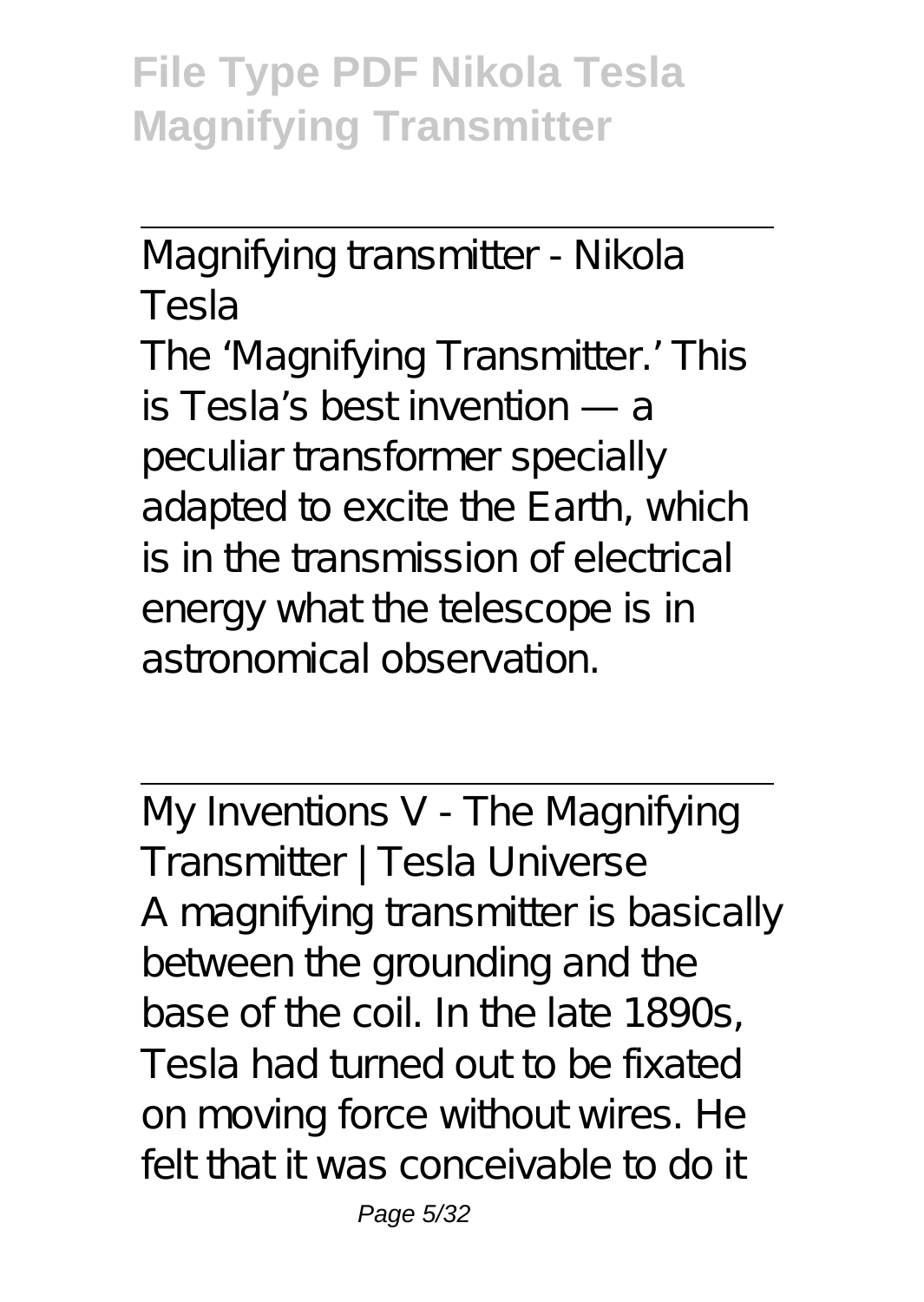Magnifying transmitter - Nikola Tesla

The 'Magnifying Transmitter.' This is Tesla's best invention — a peculiar transformer specially adapted to excite the Earth, which is in the transmission of electrical energy what the telescope is in astronomical observation.

My Inventions V - The Magnifying Transmitter | Tesla Universe A magnifying transmitter is basically between the grounding and the base of the coil. In the late 1890s, Tesla had turned out to be fixated on moving force without wires. He felt that it was conceivable to do it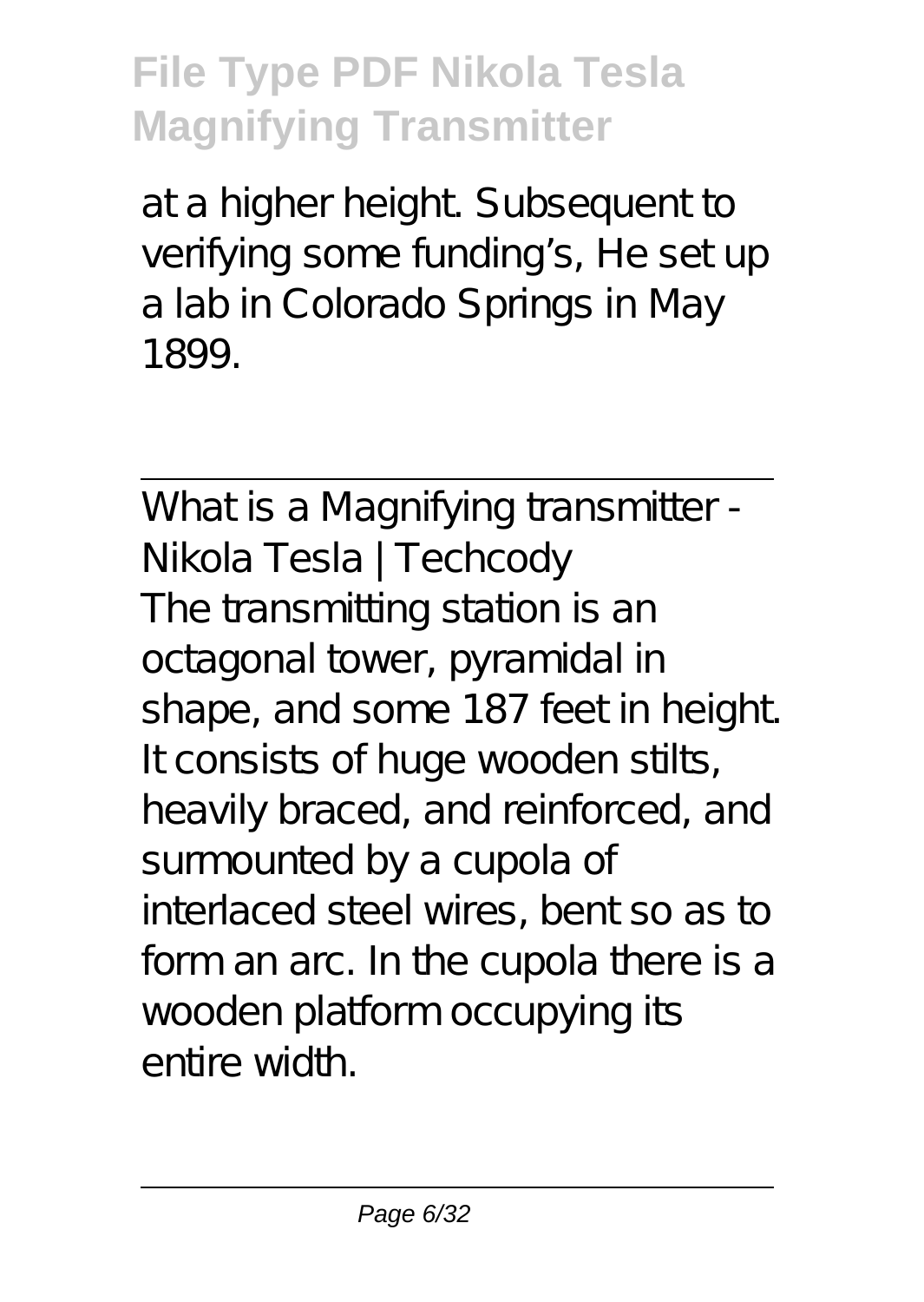at a higher height. Subsequent to verifying some funding's, He set up a lab in Colorado Springs in May 1899.

What is a Magnifying transmitter -Nikola Tesla | Techcody The transmitting station is an octagonal tower, pyramidal in shape, and some 187 feet in height. It consists of huge wooden stilts, heavily braced, and reinforced, and surmounted by a cupola of interlaced steel wires, bent so as to form an arc. In the cupola there is a wooden platform occupying its entire width.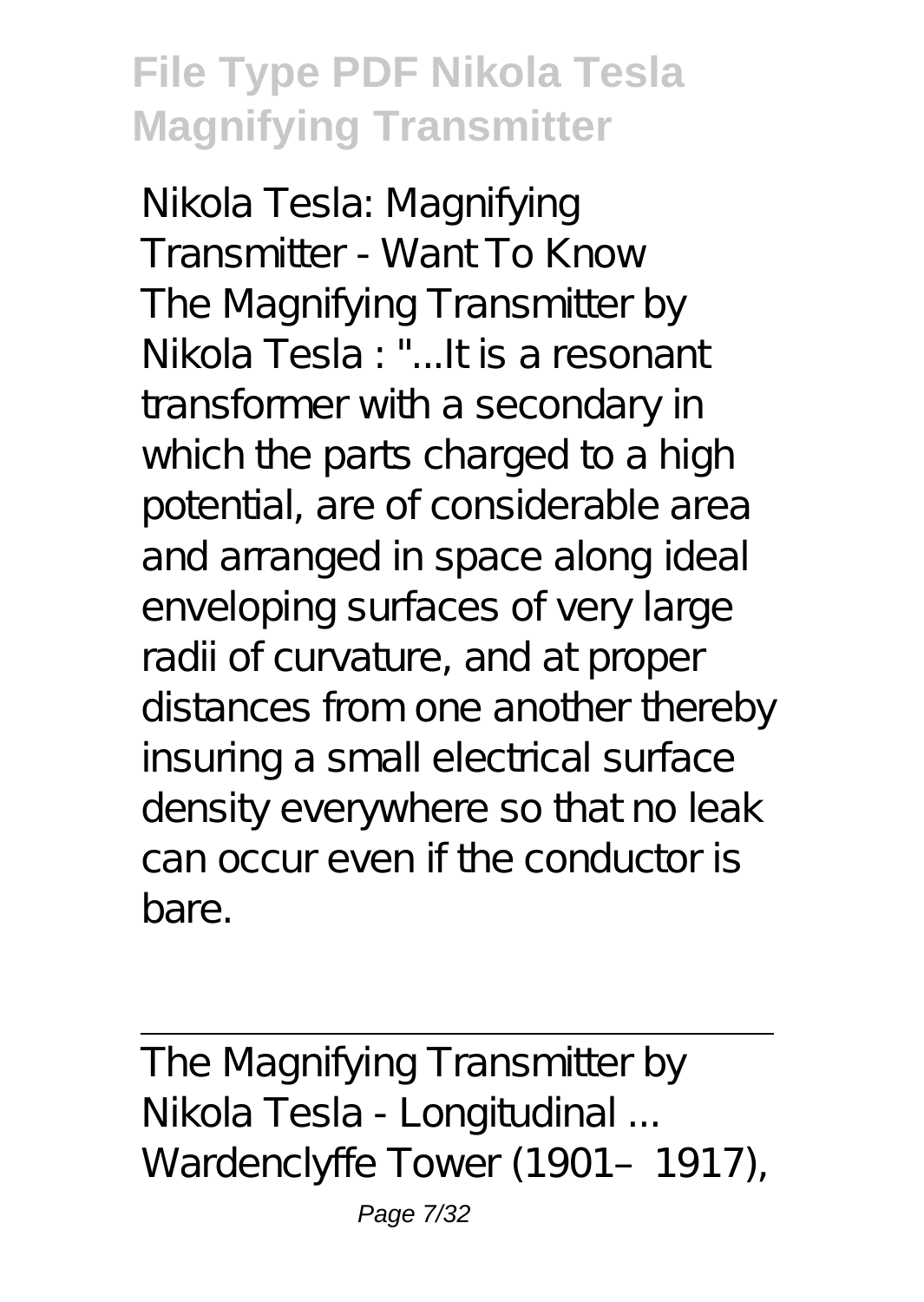Nikola Tesla: Magnifying Transmitter - Want To Know The Magnifying Transmitter by Nikola Tesla : "...It is a resonant transformer with a secondary in which the parts charged to a high potential, are of considerable area and arranged in space along ideal enveloping surfaces of very large radii of curvature, and at proper distances from one another thereby insuring a small electrical surface density everywhere so that no leak can occur even if the conductor is bare.

The Magnifying Transmitter by Nikola Tesla - Longitudinal ... Wardenclyffe Tower (1901-1917),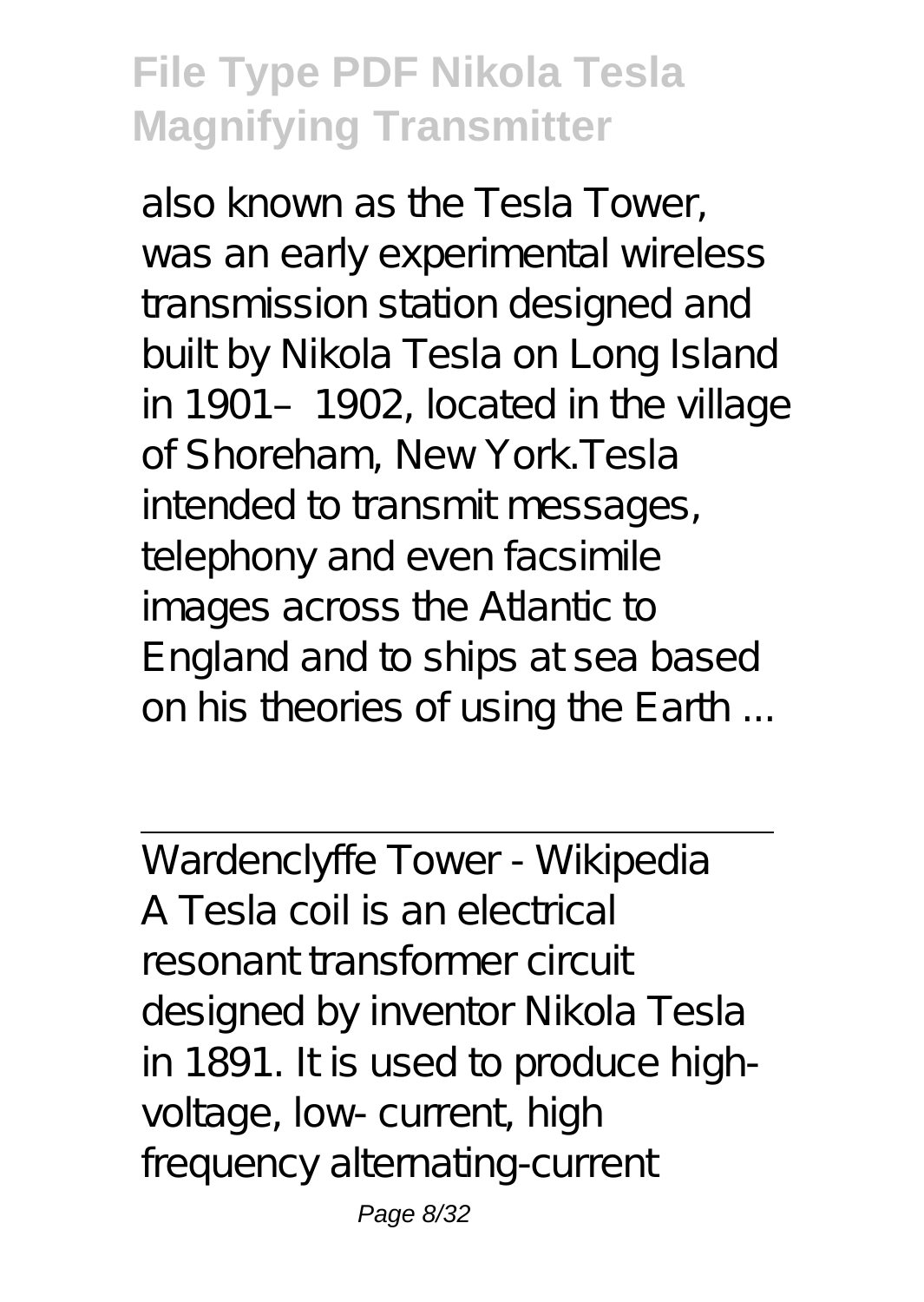also known as the Tesla Tower, was an early experimental wireless transmission station designed and built by Nikola Tesla on Long Island in 1901–1902, located in the village of Shoreham, New York.Tesla intended to transmit messages, telephony and even facsimile images across the Atlantic to England and to ships at sea based on his theories of using the Earth ...

Wardenclyffe Tower - Wikipedia A Tesla coil is an electrical resonant transformer circuit designed by inventor Nikola Tesla in 1891. It is used to produce highvoltage, low- current, high frequency alternating-current

Page 8/32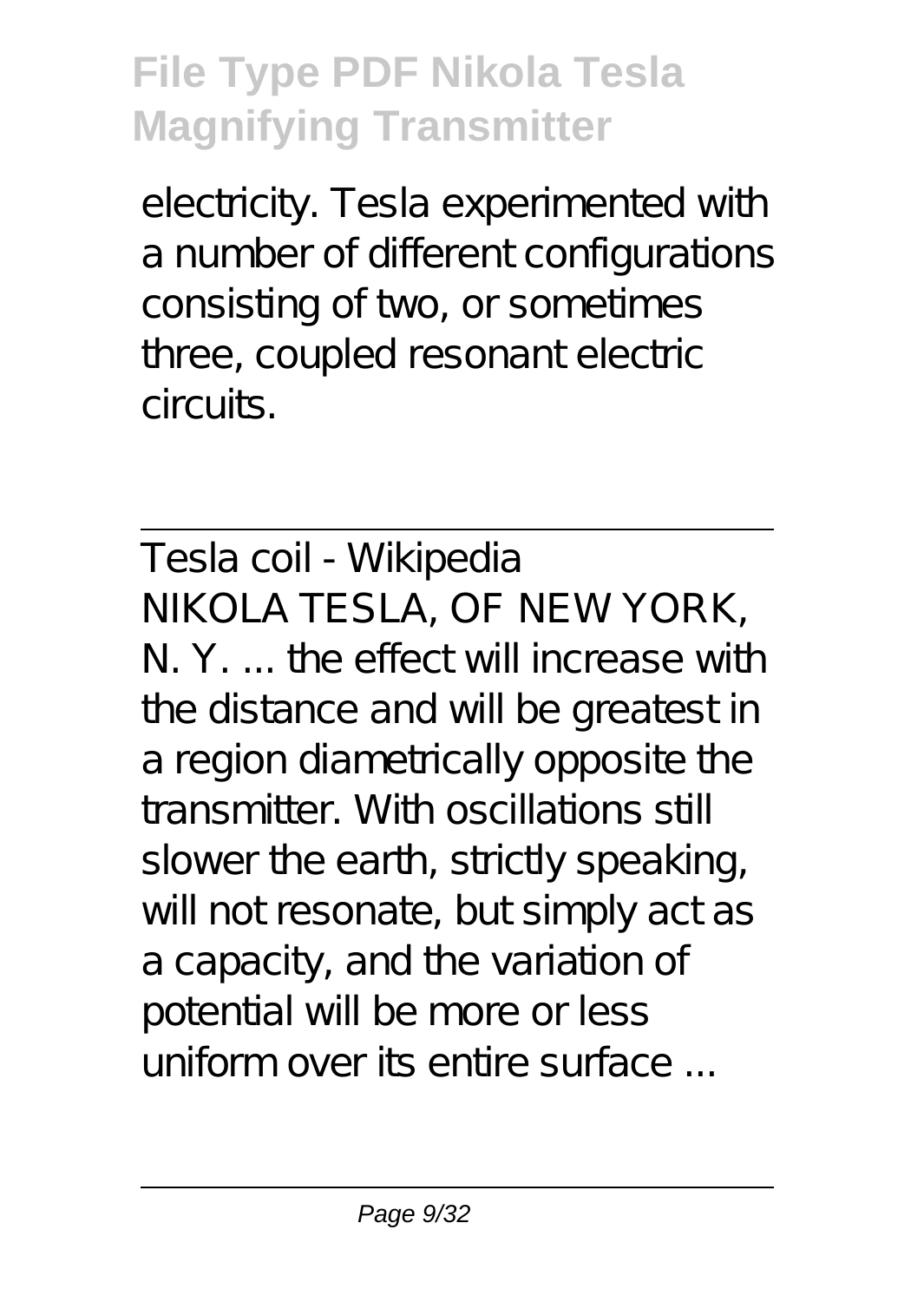electricity. Tesla experimented with a number of different configurations consisting of two, or sometimes three, coupled resonant electric circuits.

Tesla coil - Wikipedia NIKOLA TESLA, OF NEW YORK, N. Y. the effect will increase with the distance and will be greatest in a region diametrically opposite the transmitter. With oscillations still slower the earth, strictly speaking, will not resonate, but simply act as a capacity, and the variation of potential will be more or less uniform over its entire surface ...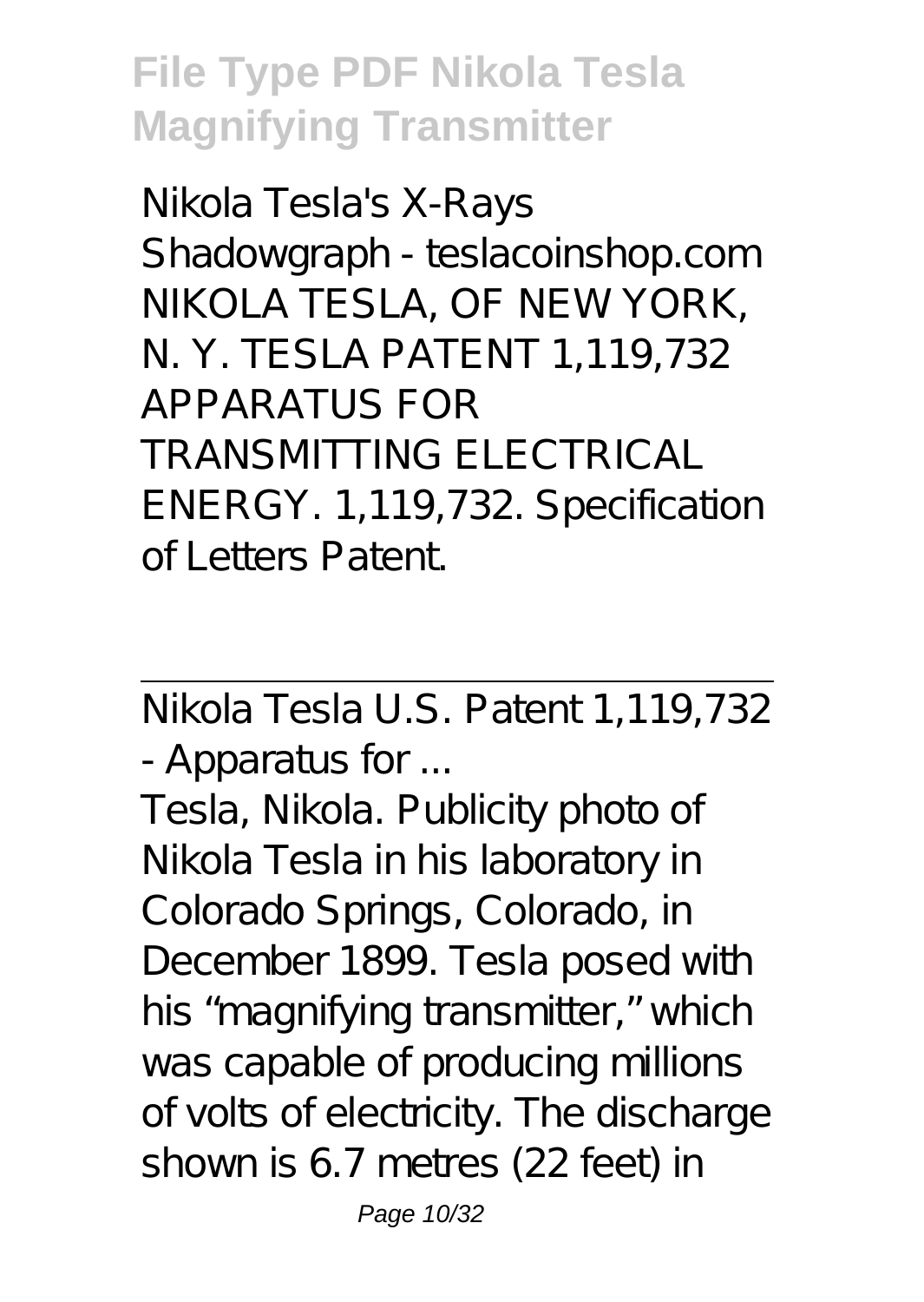Nikola Tesla's X-Rays Shadowgraph - teslacoinshop.com NIKOLA TESLA, OF NEW YORK, N. Y. TESLA PATENT 1,119,732 APPARATUS FOR TRANSMITTING ELECTRICAL ENERGY. 1,119,732. Specification of Letters Patent.

Nikola Tesla U.S. Patent 1,119,732 - Apparatus for ...

Tesla, Nikola. Publicity photo of Nikola Tesla in his laboratory in Colorado Springs, Colorado, in December 1899. Tesla posed with his "magnifying transmitter," which was capable of producing millions of volts of electricity. The discharge shown is 6.7 metres (22 feet) in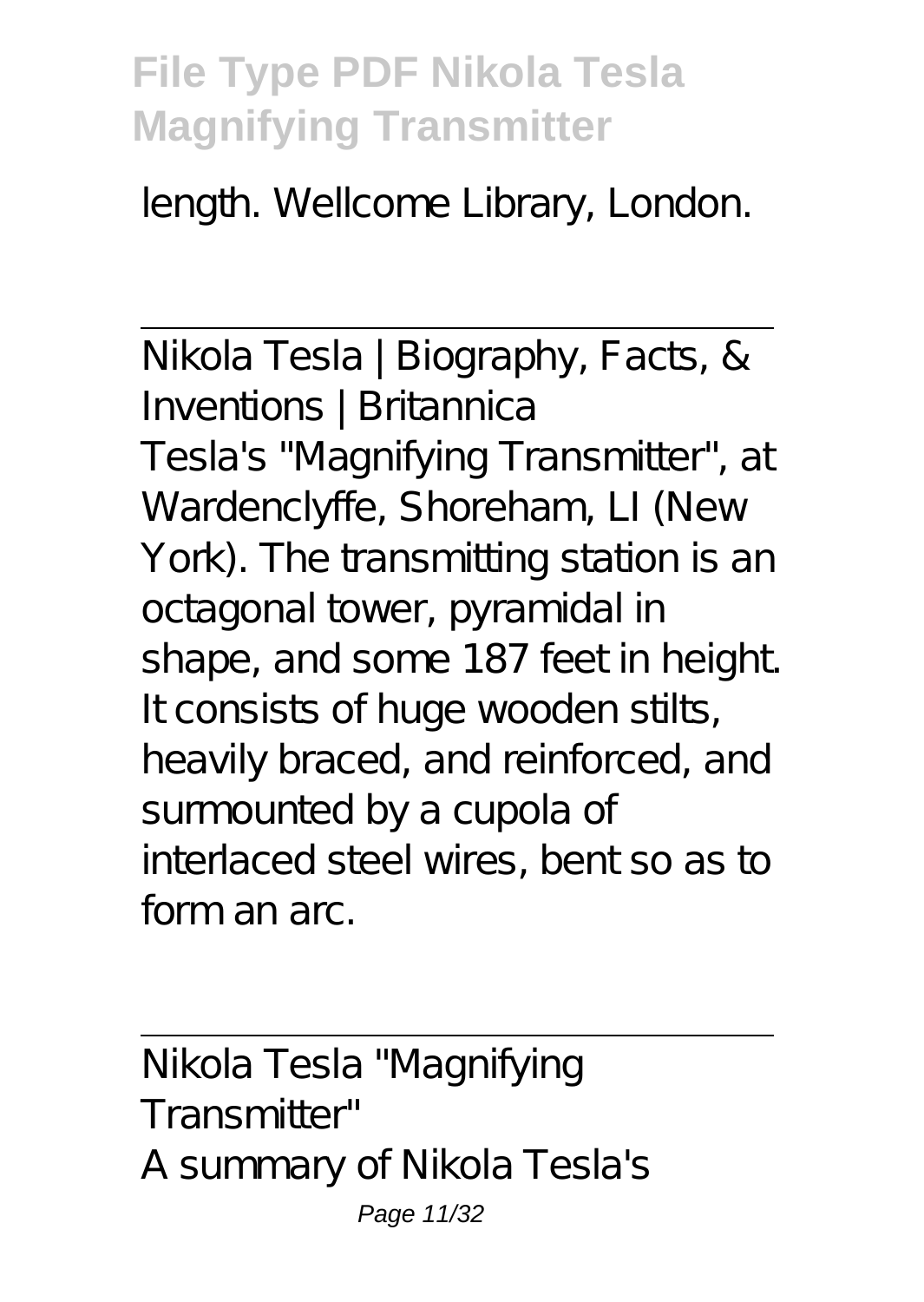length. Wellcome Library, London.

Nikola Tesla | Biography, Facts, & Inventions | Britannica Tesla's "Magnifying Transmitter", at Wardenclyffe, Shoreham, LI (New York). The transmitting station is an octagonal tower, pyramidal in shape, and some 187 feet in height. It consists of huge wooden stilts, heavily braced, and reinforced, and surmounted by a cupola of interlaced steel wires, bent so as to form an arc.

Nikola Tesla "Magnifying Transmitter" A summary of Nikola Tesla's Page 11/32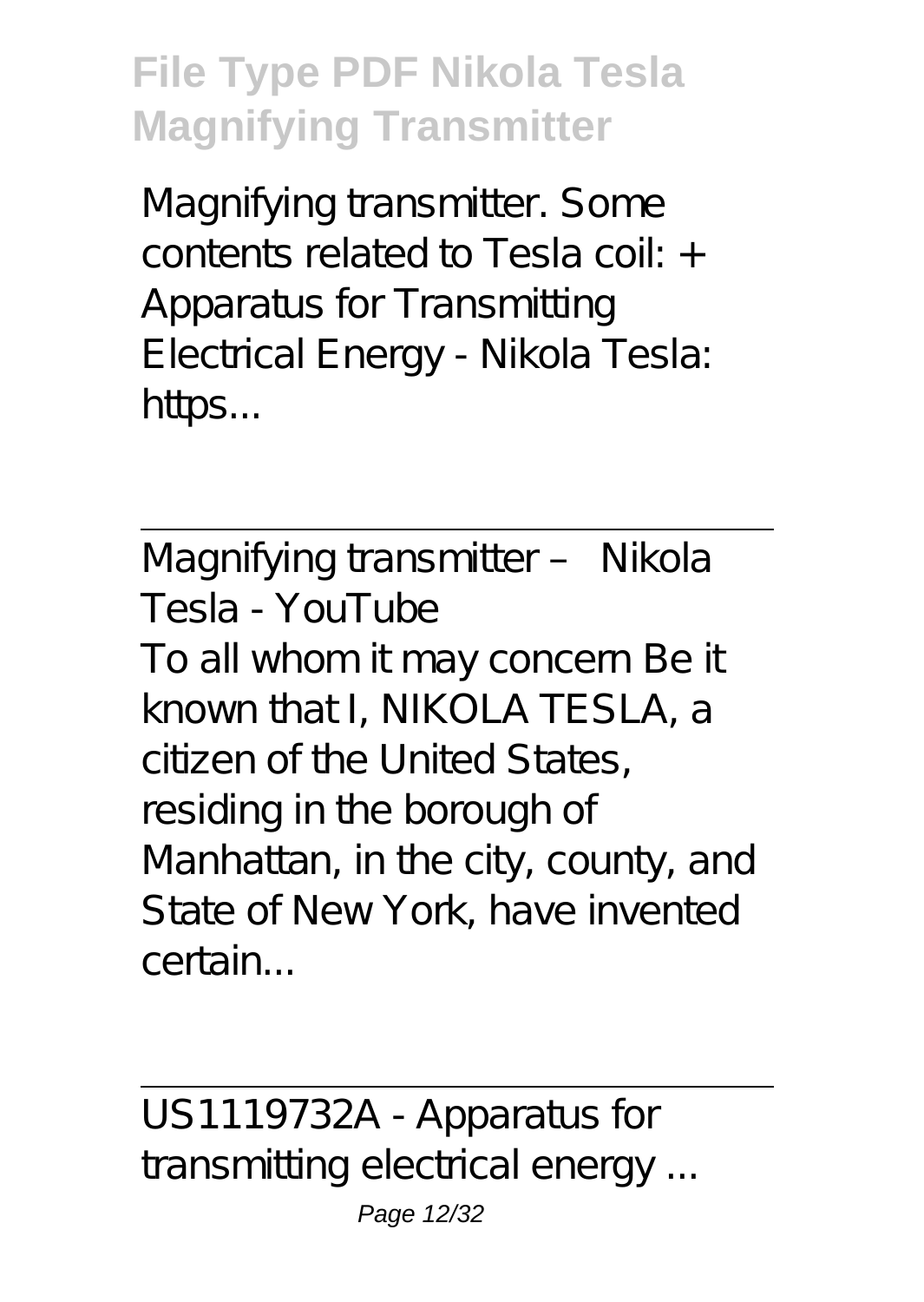Magnifying transmitter. Some contents related to Tesla coil: + Apparatus for Transmitting Electrical Energy - Nikola Tesla: https...

Magnifying transmitter – Nikola Tesla - YouTube To all whom it may concern Be it known that I, NIKOLA TESLA, a citizen of the United States, residing in the borough of Manhattan, in the city, county, and State of New York, have invented certain...

US1119732A - Apparatus for transmitting electrical energy ...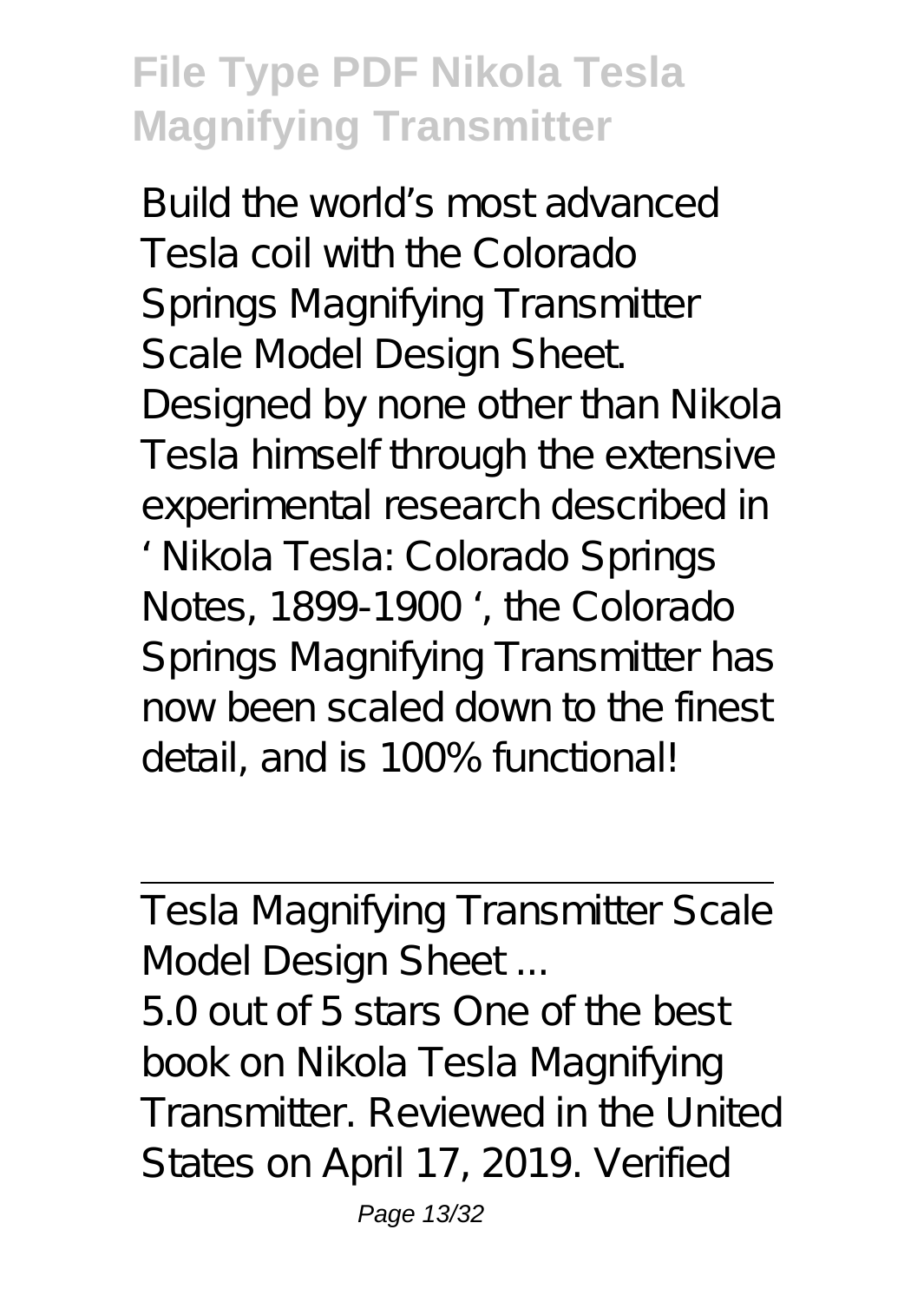Build the world's most advanced Tesla coil with the Colorado Springs Magnifying Transmitter Scale Model Design Sheet. Designed by none other than Nikola Tesla himself through the extensive experimental research described in ' Nikola Tesla: Colorado Springs Notes, 1899-1900 ', the Colorado Springs Magnifying Transmitter has now been scaled down to the finest detail, and is 100% functional!

Tesla Magnifying Transmitter Scale Model Design Sheet ...

5.0 out of 5 stars One of the best book on Nikola Tesla Magnifying Transmitter. Reviewed in the United States on April 17, 2019. Verified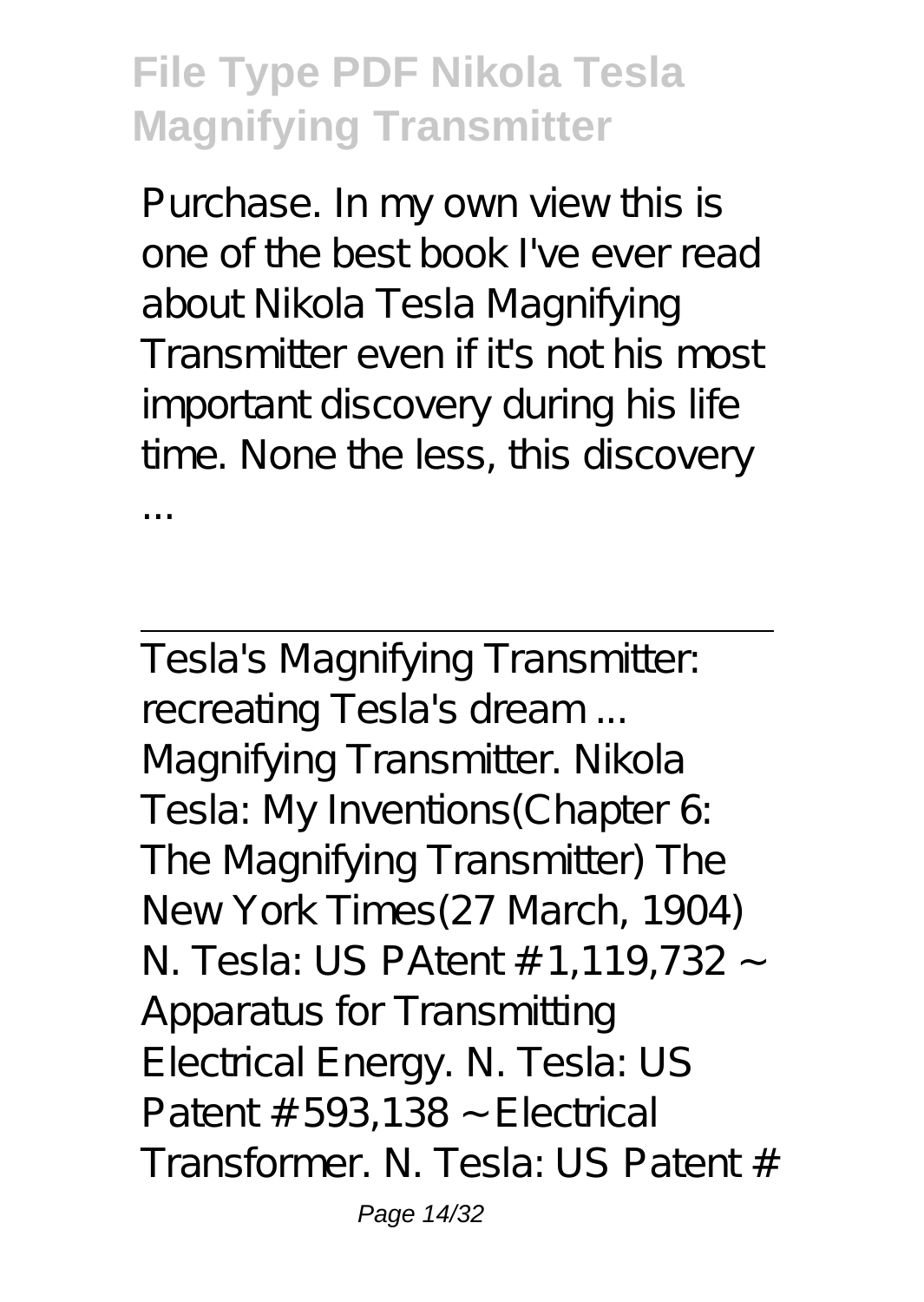Purchase. In my own view this is one of the best book I've ever read about Nikola Tesla Magnifying Transmitter even if it's not his most important discovery during his life time. None the less, this discovery ...

Tesla's Magnifying Transmitter: recreating Tesla's dream ... Magnifying Transmitter. Nikola Tesla: My Inventions(Chapter 6: The Magnifying Transmitter) The New York Times(27 March, 1904) N. Tesla: US PAtent # 1,119,732 ~ Apparatus for Transmitting Electrical Energy. N. Tesla: US Patent  $# 593,138 \sim$  Electrical Transformer. N. Tesla: US Patent #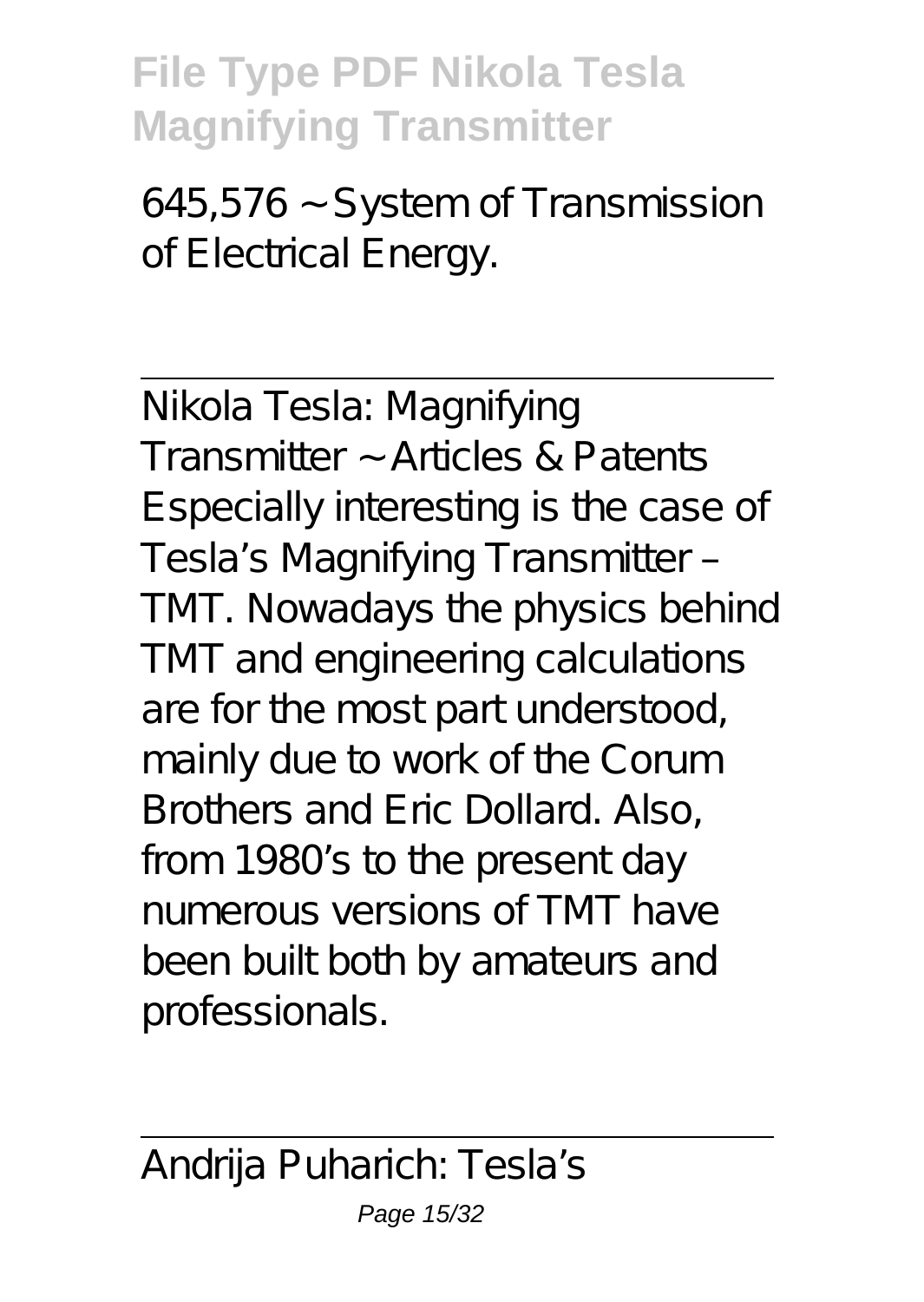645,576 ~ System of Transmission of Electrical Energy.

Nikola Tesla: Magnifying Transmitter ~ Articles & Patents Especially interesting is the case of Tesla's Magnifying Transmitter – TMT. Nowadays the physics behind TMT and engineering calculations are for the most part understood, mainly due to work of the Corum Brothers and Eric Dollard. Also, from 1980's to the present day numerous versions of TMT have been built both by amateurs and professionals.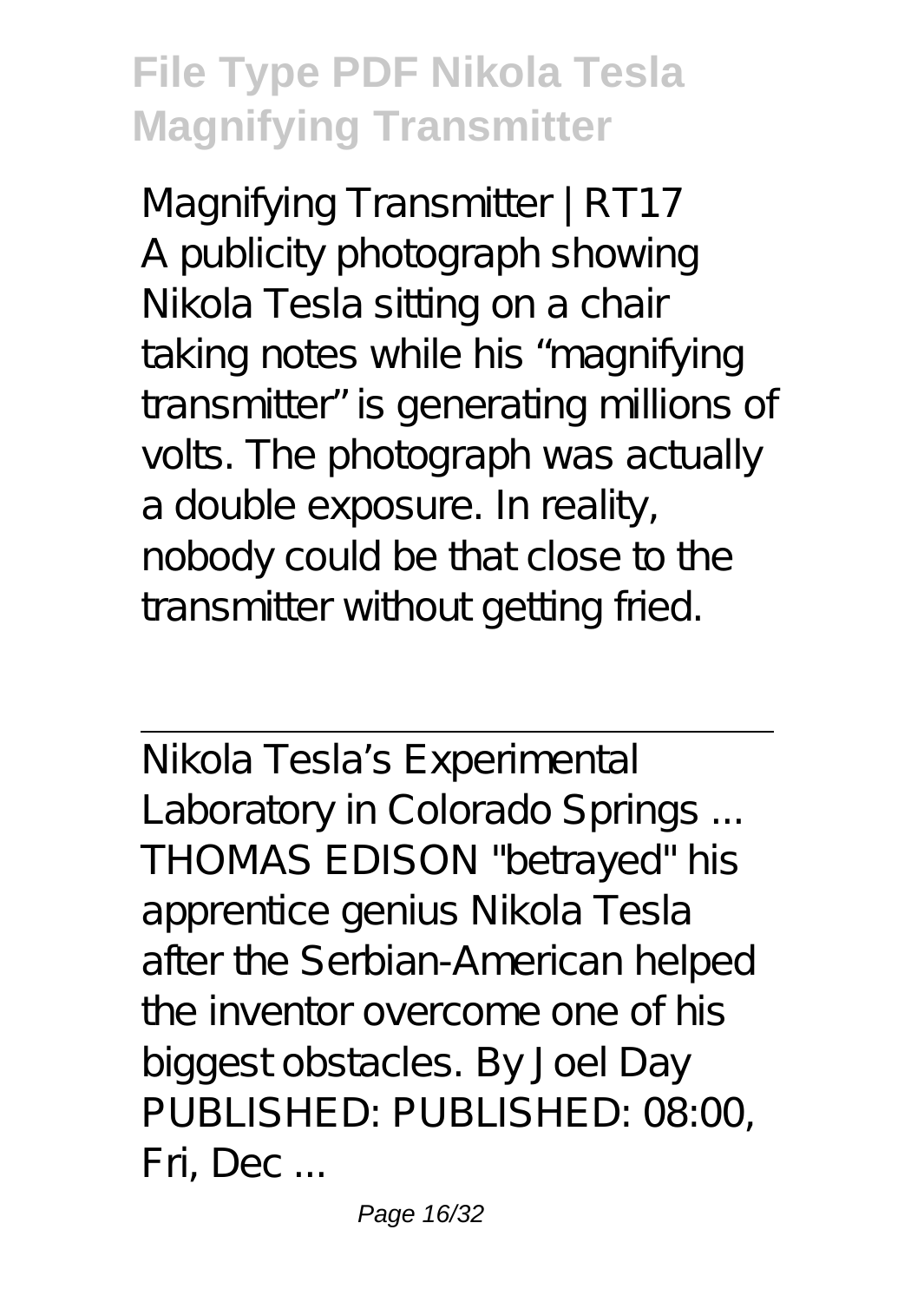Magnifying Transmitter | RT17 A publicity photograph showing Nikola Tesla sitting on a chair taking notes while his "magnifying transmitter" is generating millions of volts. The photograph was actually a double exposure. In reality, nobody could be that close to the transmitter without getting fried.

Nikola Tesla's Experimental Laboratory in Colorado Springs ... THOMAS EDISON "betrayed" his apprentice genius Nikola Tesla after the Serbian-American helped the inventor overcome one of his biggest obstacles. By Joel Day PUBLISHED: PUBLISHED: 08:00, Fri, Dec ...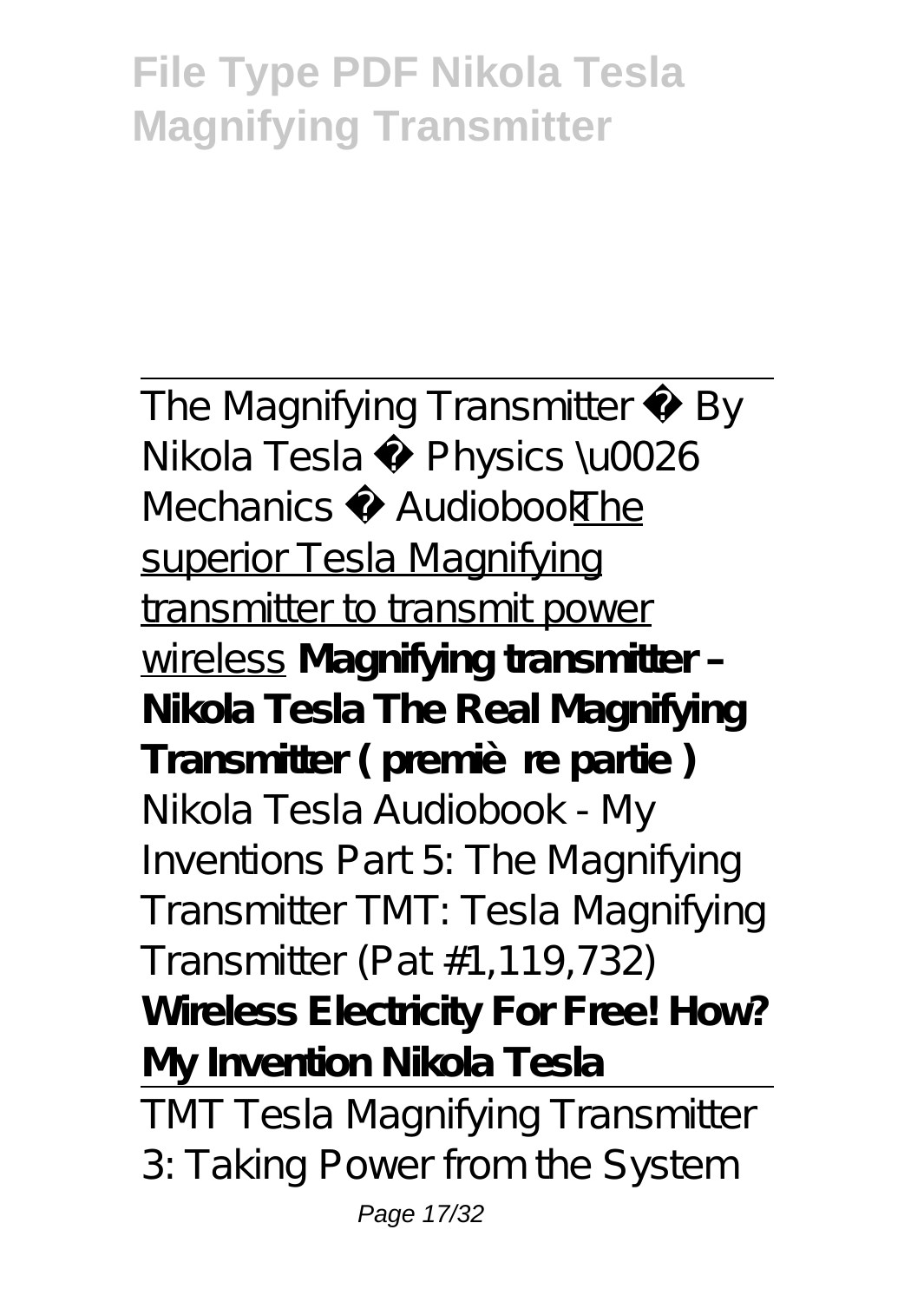The Magnifying Transmitter By Nikola Tesla ♦ Physics \u0026 Mechanics AudiobookThe superior Tesla Magnifying transmitter to transmit power wireless **Magnifying transmitter – Nikola Tesla The Real Magnifying** Transmitter (première partie) Nikola Tesla Audiobook - My Inventions Part 5: The Magnifying Transmitter *TMT: Tesla Magnifying Transmitter (Pat #1,119,732)* **Wireless Electricity For Free! How? My Invention Nikola Tesla** TMT Tesla Magnifying Transmitter 3: Taking Power from the System Page 17/32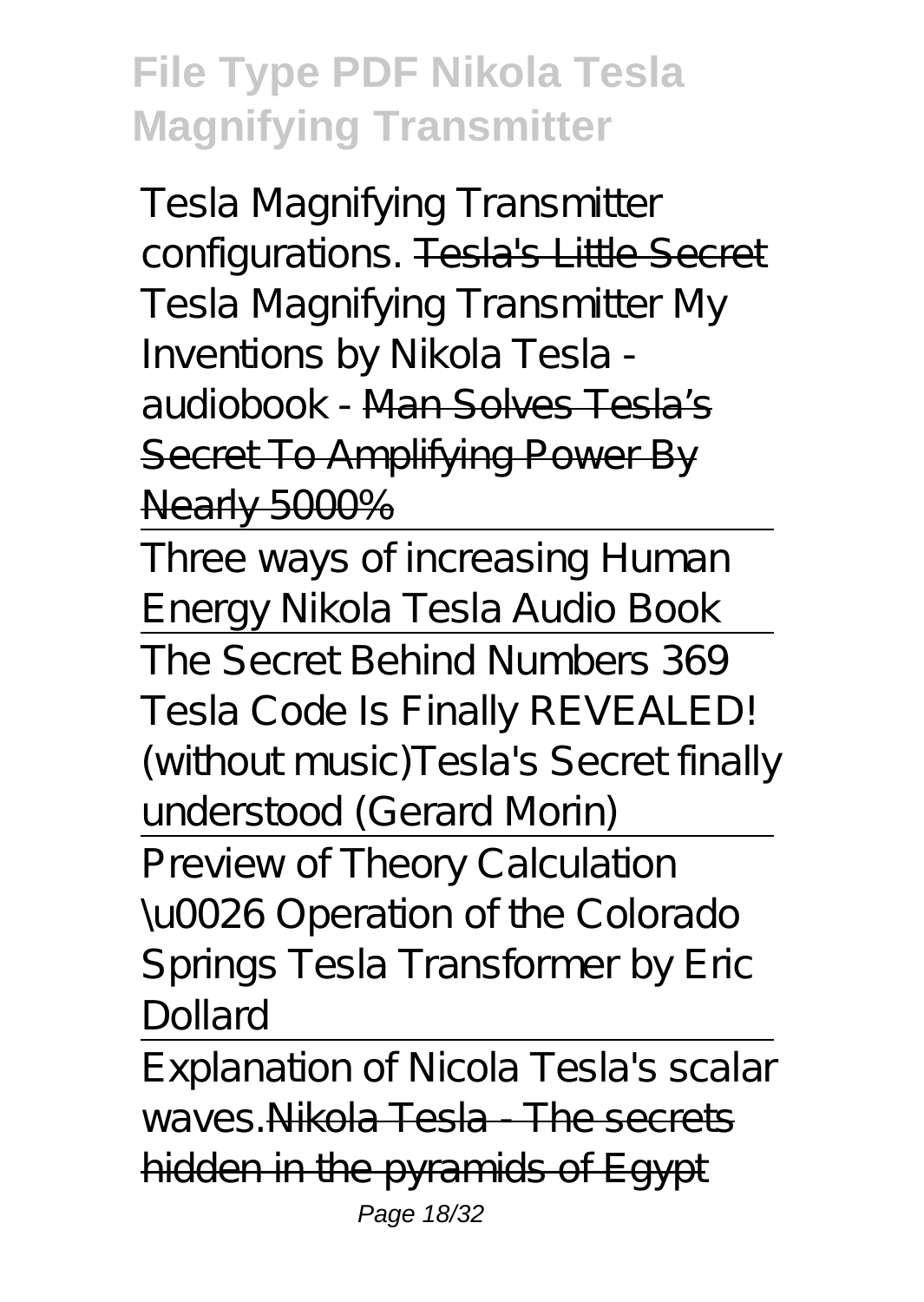Tesla Magnifying Transmitter configurations. Tesla's Little Secret *Tesla Magnifying Transmitter My Inventions by Nikola Tesla audiobook -* Man Solves Tesla's Secret To Amplifying Power By Nearly 5000%

Three ways of increasing Human Energy Nikola Tesla Audio Book The Secret Behind Numbers 369 Tesla Code Is Finally REVEALED! (without music)*Tesla's Secret finally understood (Gerard Morin)*

Preview of Theory Calculation \u0026 Operation of the Colorado Springs Tesla Transformer by Eric Dollard

Explanation of Nicola Tesla's scalar waves.Nikola Tesla - The secrets hidden in the pyramids of Egypt Page 18/32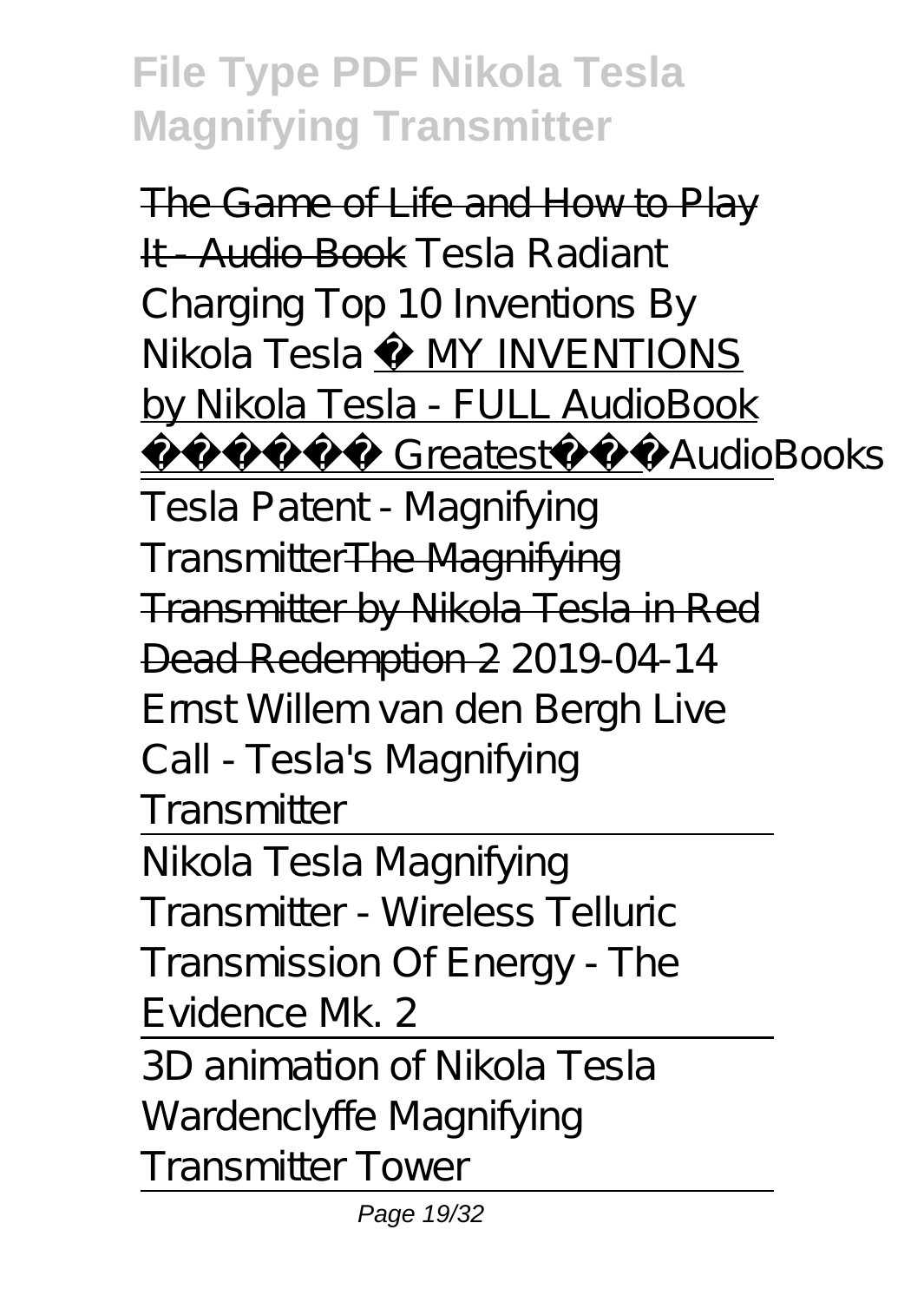The Game of Life and How to Play It - Audio Book *Tesla Radiant Charging Top 10 Inventions By Nikola Tesla* ⚡ MY INVENTIONS by Nikola Tesla - FULL AudioBook Greatest AudioBooks Tesla Patent - Magnifying TransmitterThe Magnifying Transmitter by Nikola Tesla in Red Dead Redemption 2 *2019-04-14 Ernst Willem van den Bergh Live*

*Call - Tesla's Magnifying Transmitter*

Nikola Tesla Magnifying Transmitter - Wireless Telluric Transmission Of Energy - The Evidence Mk. 2

3D animation of Nikola Tesla Wardenclyffe Magnifying Transmitter Tower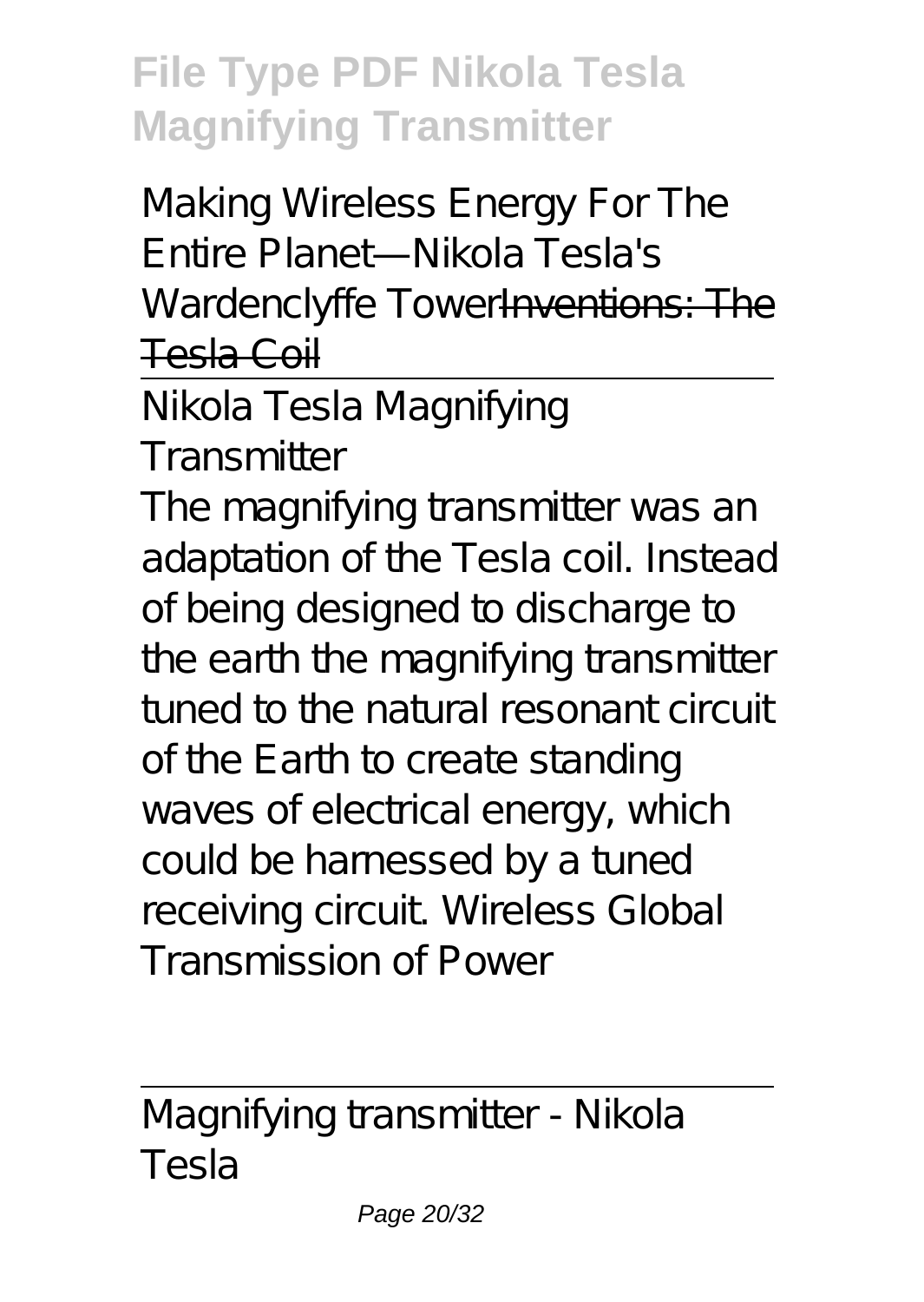Making Wireless Energy For The Entire Planet—Nikola Tesla's Wardenclyffe TowerInventions: The Tesla Coil

Nikola Tesla Magnifying

**Transmitter** 

The magnifying transmitter was an adaptation of the Tesla coil. Instead of being designed to discharge to the earth the magnifying transmitter tuned to the natural resonant circuit of the Earth to create standing waves of electrical energy, which could be harnessed by a tuned receiving circuit. Wireless Global Transmission of Power

Magnifying transmitter - Nikola Tesla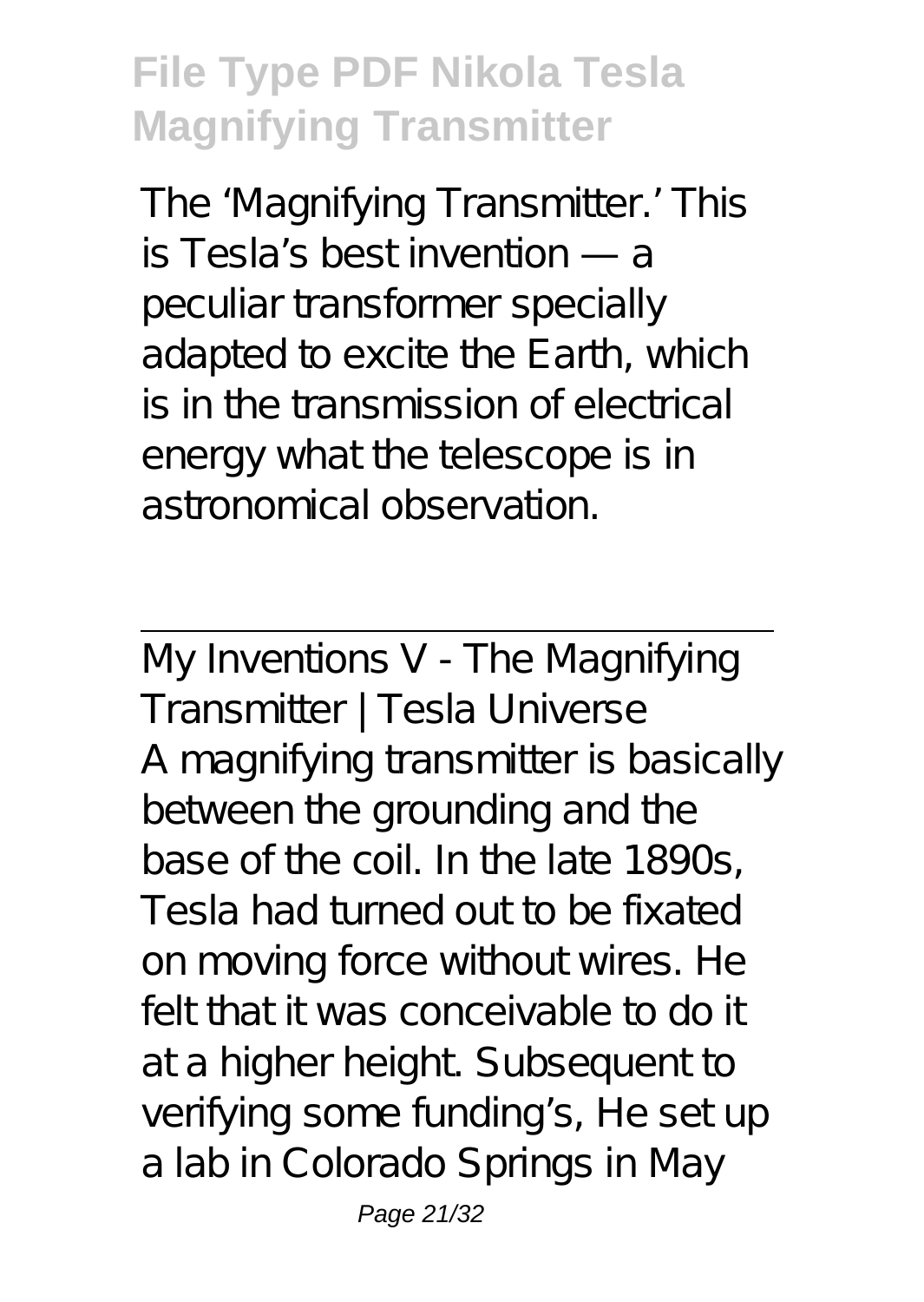The 'Magnifying Transmitter.' This is Tesla's best invention — a peculiar transformer specially adapted to excite the Earth, which is in the transmission of electrical energy what the telescope is in astronomical observation.

My Inventions V - The Magnifying Transmitter | Tesla Universe A magnifying transmitter is basically between the grounding and the base of the coil. In the late 1890s, Tesla had turned out to be fixated on moving force without wires. He felt that it was conceivable to do it at a higher height. Subsequent to verifying some funding's, He set up a lab in Colorado Springs in May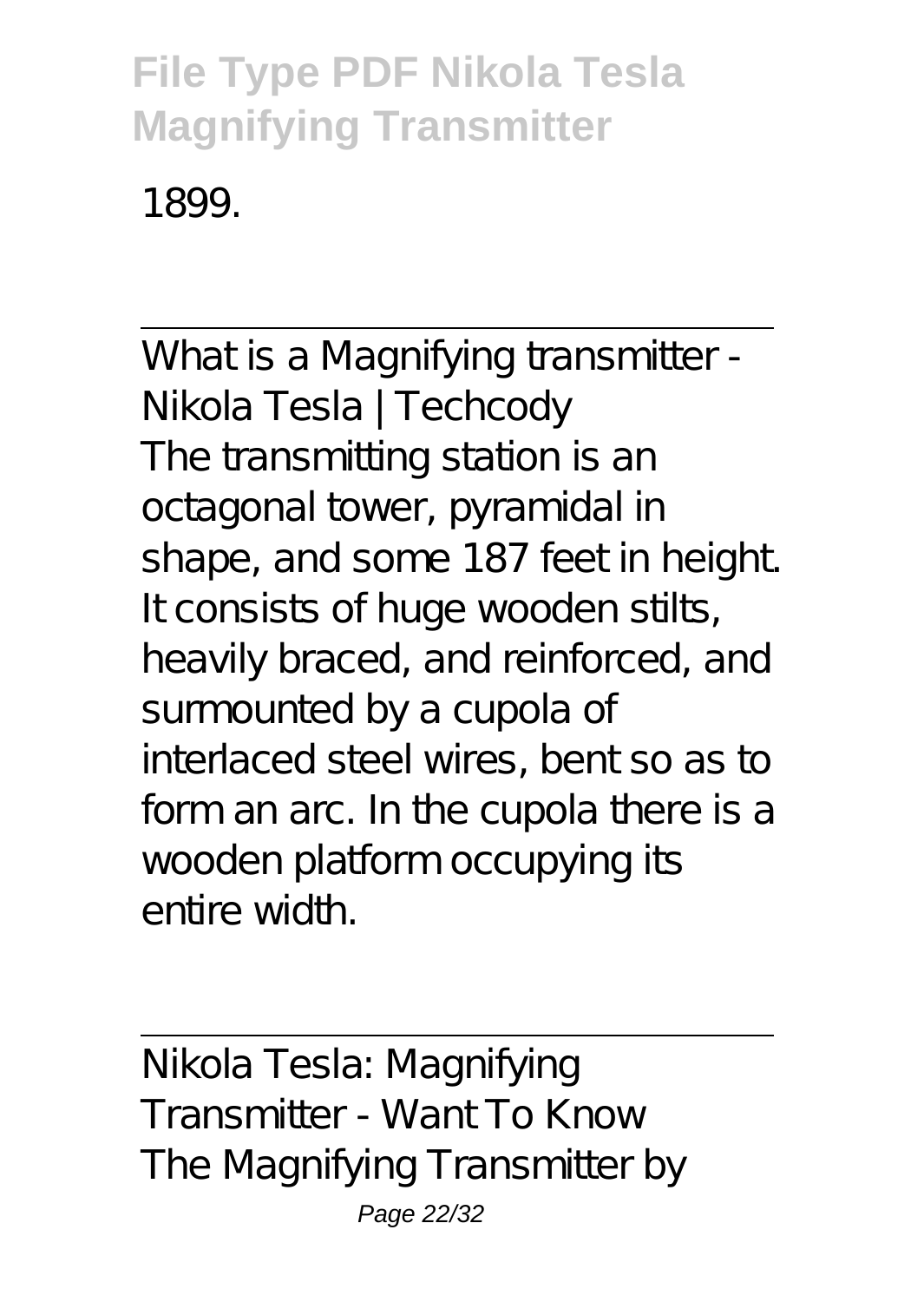1899.

What is a Magnifying transmitter -Nikola Tesla | Techcody The transmitting station is an octagonal tower, pyramidal in shape, and some 187 feet in height. It consists of huge wooden stilts, heavily braced, and reinforced, and surmounted by a cupola of interlaced steel wires, bent so as to form an arc. In the cupola there is a wooden platform occupying its entire width.

Nikola Tesla: Magnifying Transmitter - Want To Know The Magnifying Transmitter by Page 22/32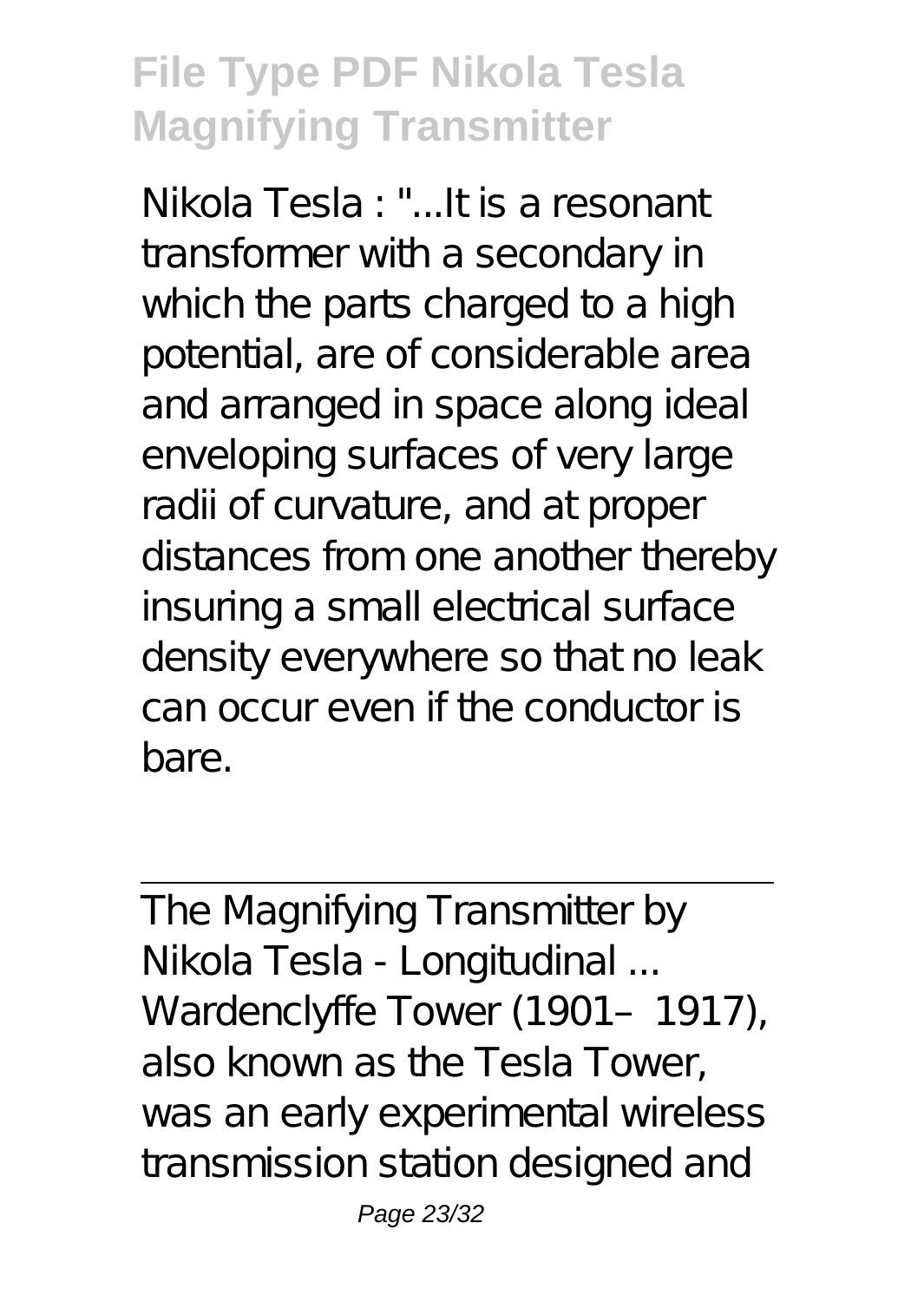Nikola Tesla : "...It is a resonant transformer with a secondary in which the parts charged to a high potential, are of considerable area and arranged in space along ideal enveloping surfaces of very large radii of curvature, and at proper distances from one another thereby insuring a small electrical surface density everywhere so that no leak can occur even if the conductor is bare.

The Magnifying Transmitter by Nikola Tesla - Longitudinal ... Wardenclyffe Tower (1901-1917), also known as the Tesla Tower, was an early experimental wireless transmission station designed and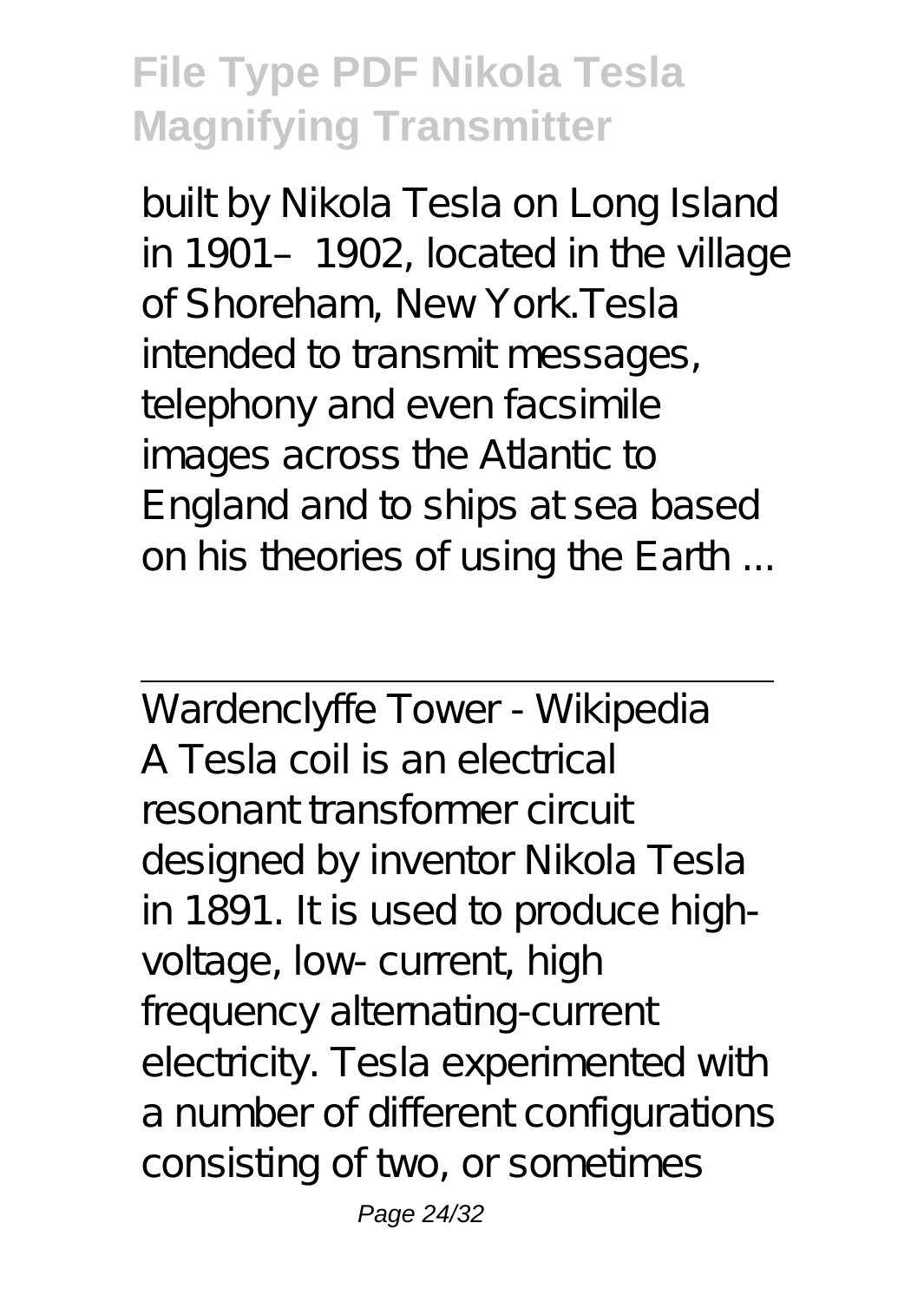built by Nikola Tesla on Long Island in 1901–1902, located in the village of Shoreham, New York.Tesla intended to transmit messages, telephony and even facsimile images across the Atlantic to England and to ships at sea based on his theories of using the Earth ...

Wardenclyffe Tower - Wikipedia A Tesla coil is an electrical resonant transformer circuit designed by inventor Nikola Tesla in 1891. It is used to produce highvoltage, low- current, high frequency alternating-current electricity. Tesla experimented with a number of different configurations consisting of two, or sometimes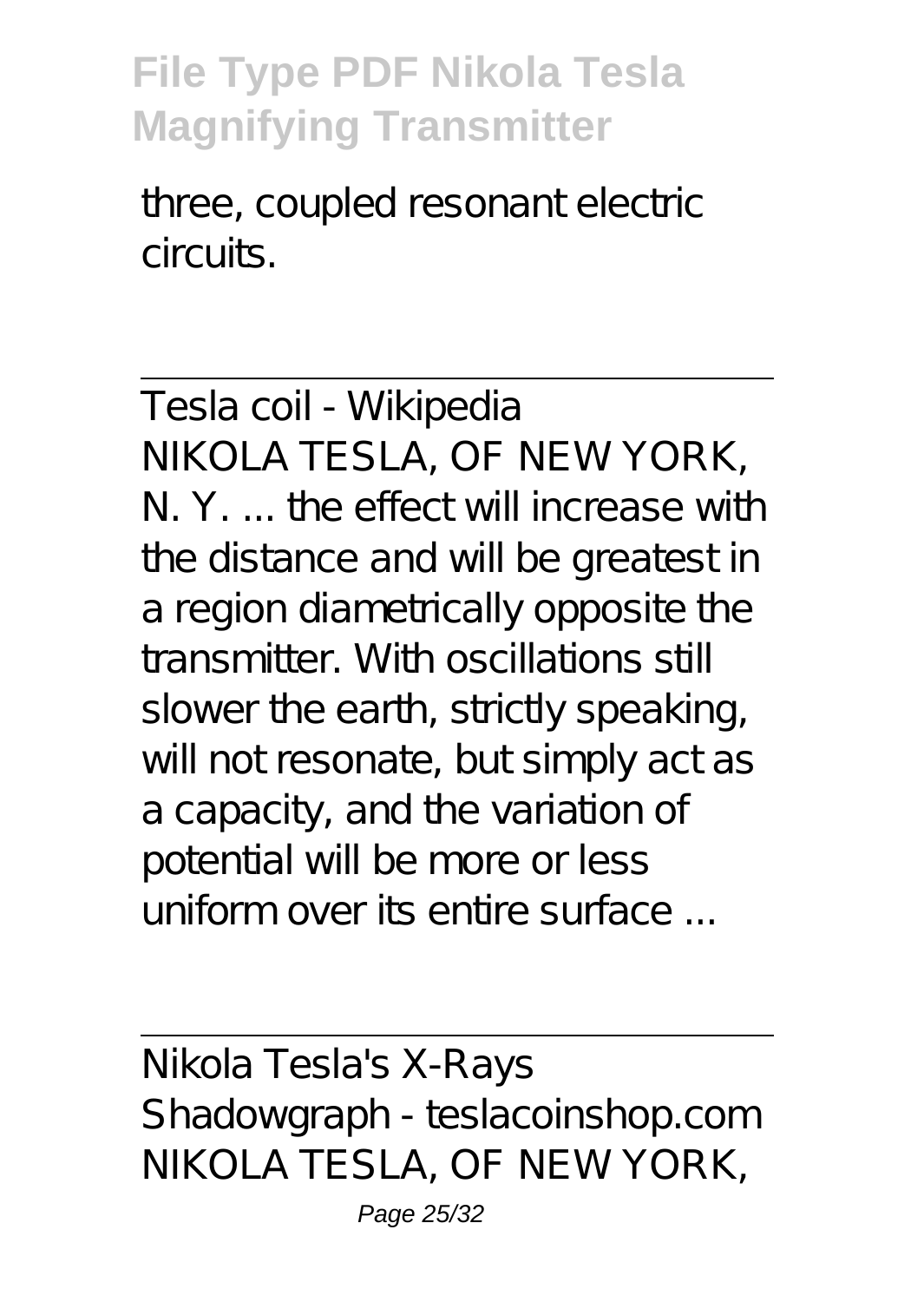three, coupled resonant electric circuits.

Tesla coil - Wikipedia NIKOLA TESLA, OF NEW YORK, N. Y the effect will increase with the distance and will be greatest in a region diametrically opposite the transmitter. With oscillations still slower the earth, strictly speaking, will not resonate, but simply act as a capacity, and the variation of potential will be more or less uniform over its entire surface ...

Nikola Tesla's X-Rays Shadowgraph - teslacoinshop.com NIKOLA TESLA, OF NEW YORK,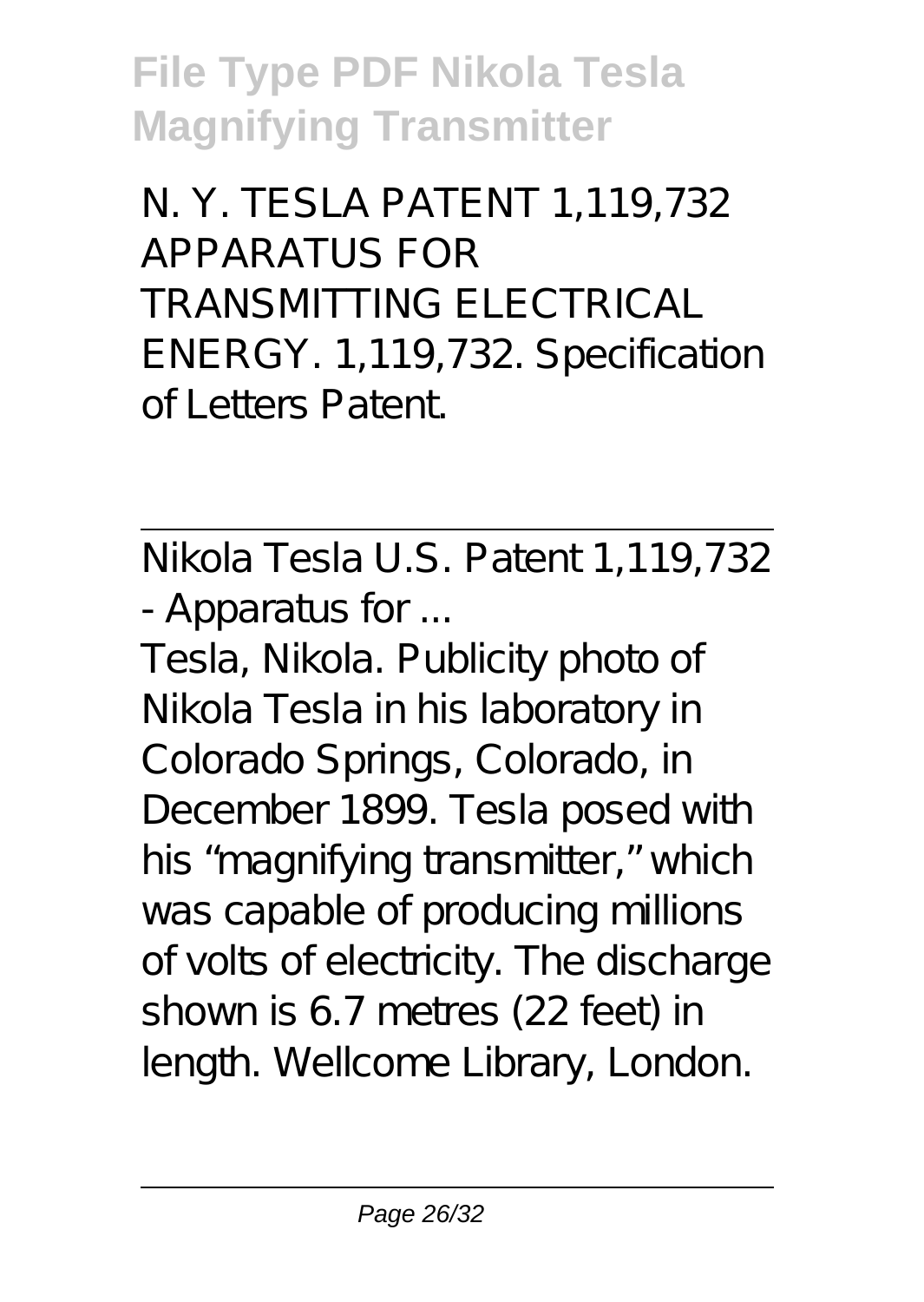N. Y. TESLA PATENT 1,119,732 APPARATUS FOR TRANSMITTING ELECTRICAL ENERGY. 1,119,732. Specification of Letters Patent.

Nikola Tesla U.S. Patent 1,119,732 - Apparatus for ...

Tesla, Nikola. Publicity photo of Nikola Tesla in his laboratory in Colorado Springs, Colorado, in December 1899. Tesla posed with his "magnifying transmitter," which was capable of producing millions of volts of electricity. The discharge shown is 6.7 metres (22 feet) in length. Wellcome Library, London.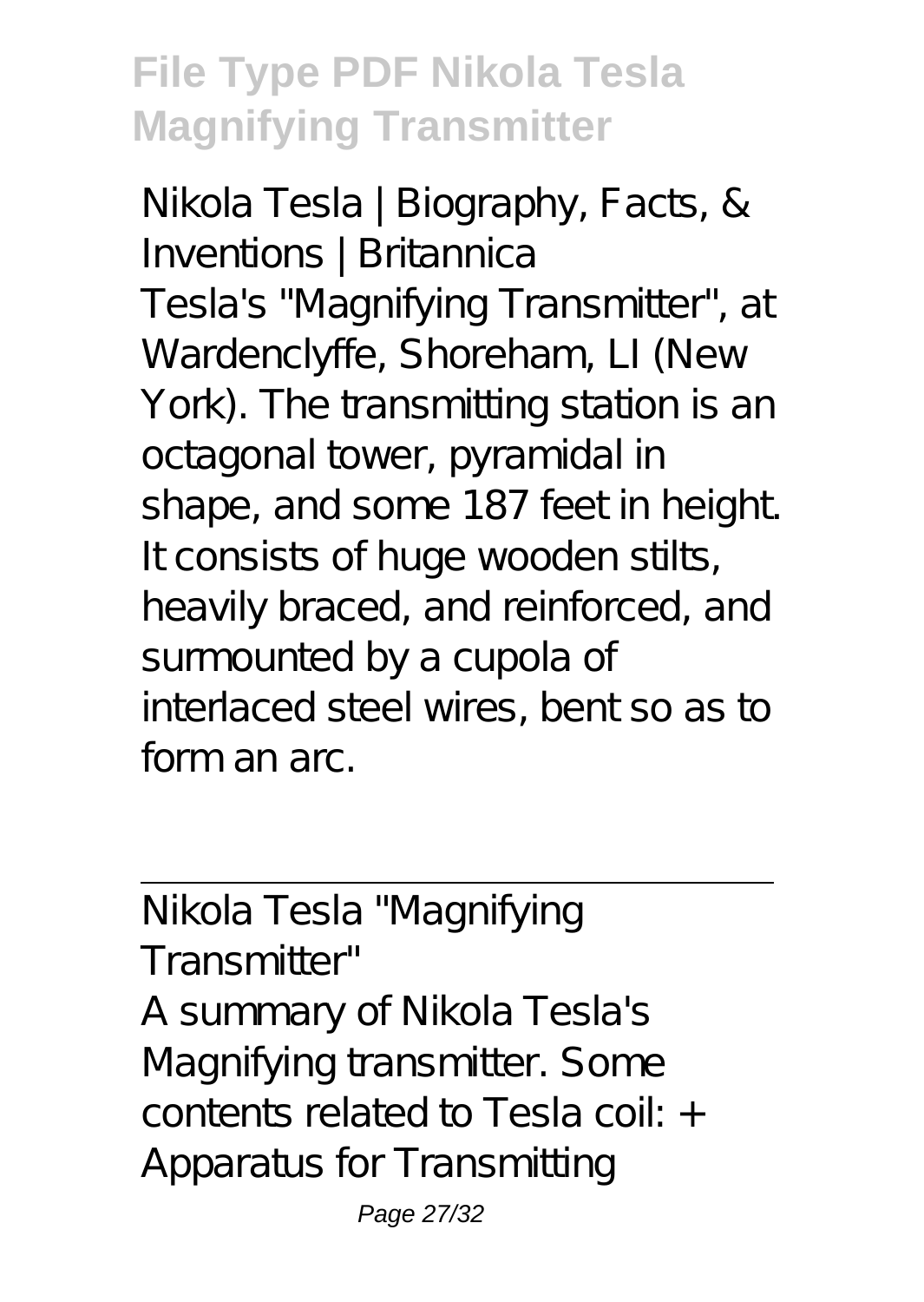Nikola Tesla | Biography, Facts, & Inventions | Britannica Tesla's "Magnifying Transmitter", at Wardenclyffe, Shoreham, LI (New York). The transmitting station is an octagonal tower, pyramidal in shape, and some 187 feet in height. It consists of huge wooden stilts, heavily braced, and reinforced, and surmounted by a cupola of interlaced steel wires, bent so as to form an arc.

Nikola Tesla "Magnifying Transmitter" A summary of Nikola Tesla's Magnifying transmitter. Some contents related to Tesla coil: + Apparatus for Transmitting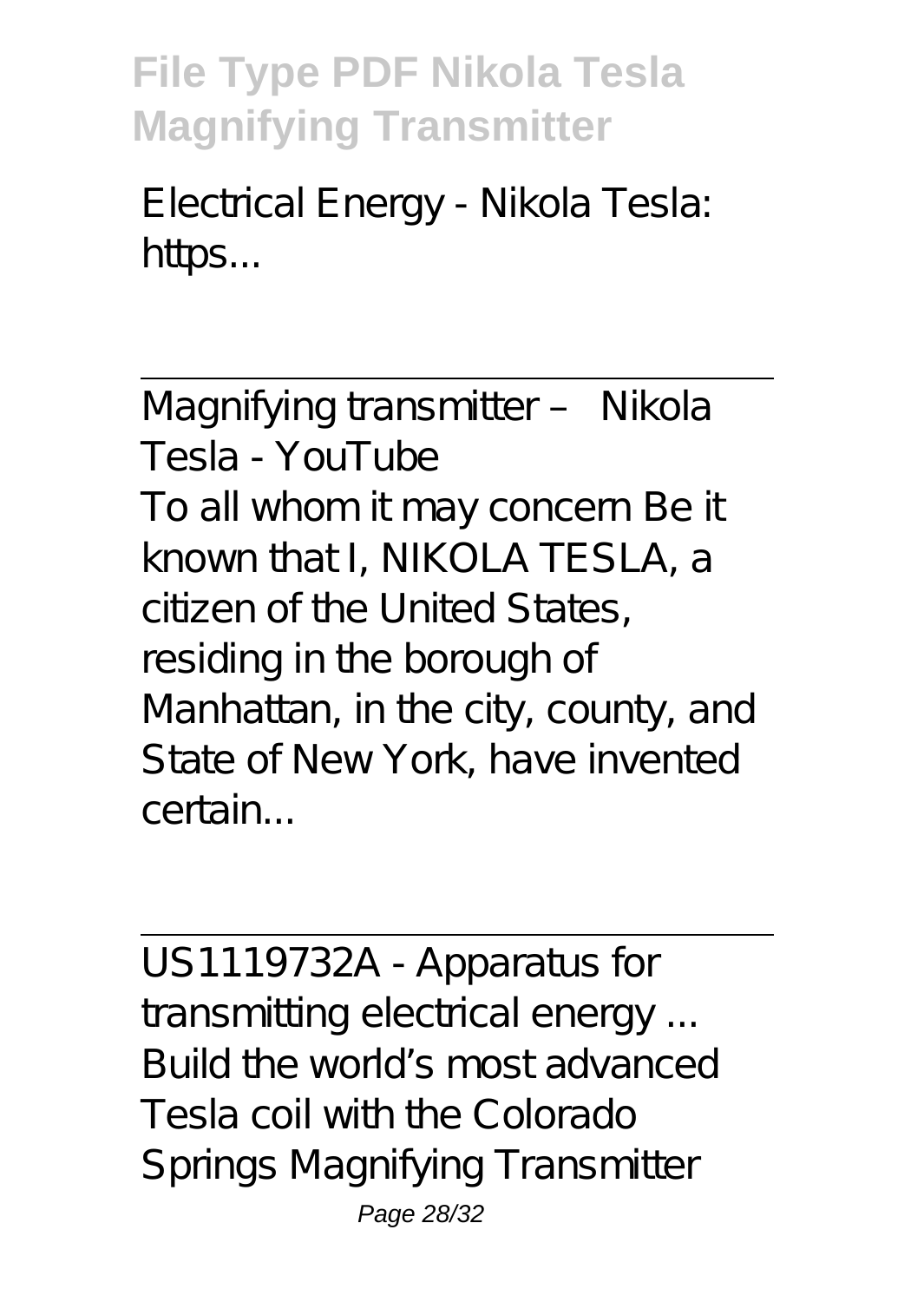Electrical Energy - Nikola Tesla: https...

Magnifying transmitter – Nikola Tesla - YouTube To all whom it may concern Be it known that I, NIKOLA TESLA, a citizen of the United States, residing in the borough of Manhattan, in the city, county, and State of New York, have invented certain...

US1119732A - Apparatus for transmitting electrical energy ... Build the world's most advanced Tesla coil with the Colorado Springs Magnifying Transmitter Page 28/32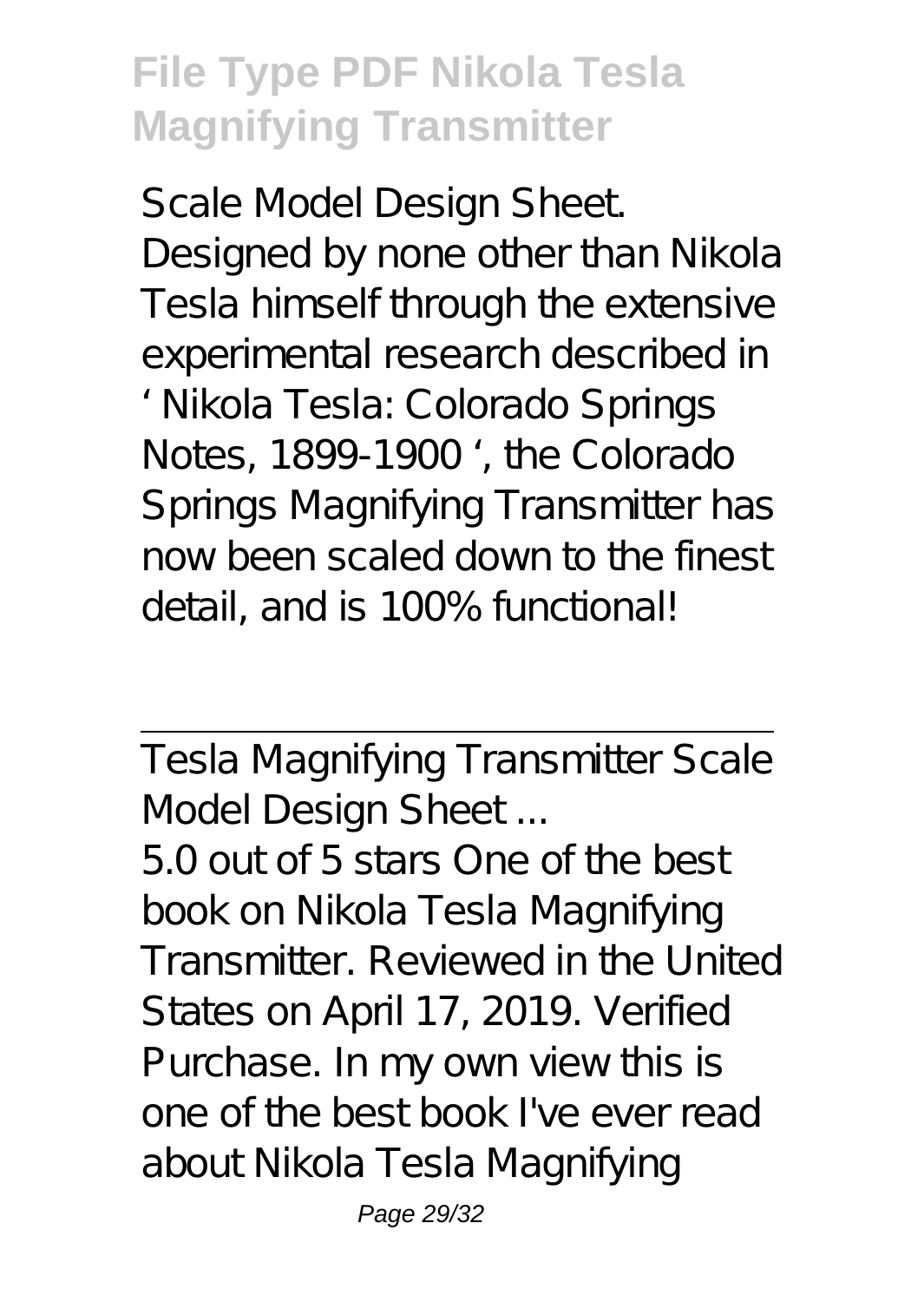Scale Model Design Sheet. Designed by none other than Nikola Tesla himself through the extensive experimental research described in ' Nikola Tesla: Colorado Springs Notes, 1899-1900 ', the Colorado Springs Magnifying Transmitter has now been scaled down to the finest detail, and is 100% functional!

Tesla Magnifying Transmitter Scale Model Design Sheet ...

5.0 out of 5 stars One of the best book on Nikola Tesla Magnifying Transmitter. Reviewed in the United States on April 17, 2019. Verified Purchase. In my own view this is one of the best book I've ever read about Nikola Tesla Magnifying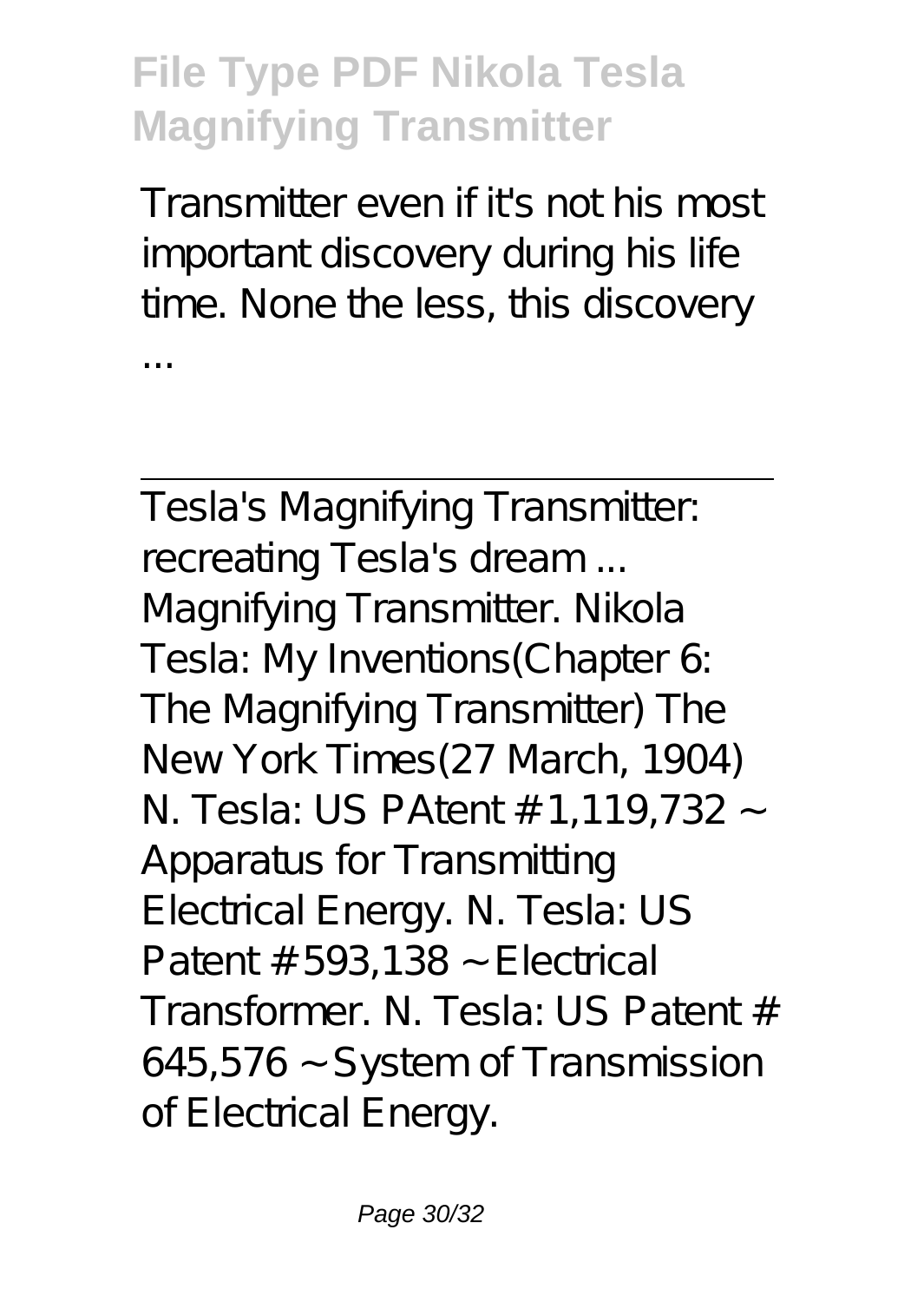Transmitter even if it's not his most important discovery during his life time. None the less, this discovery ...

Tesla's Magnifying Transmitter: recreating Tesla's dream ... Magnifying Transmitter. Nikola Tesla: My Inventions(Chapter 6: The Magnifying Transmitter) The New York Times(27 March, 1904) N. Tesla: US PAtent # 1,119,732 ~ Apparatus for Transmitting Electrical Energy. N. Tesla: US Patent  $# 593,138 \sim$  Electrical Transformer. N. Tesla: US Patent # 645,576 ~ System of Transmission of Electrical Energy.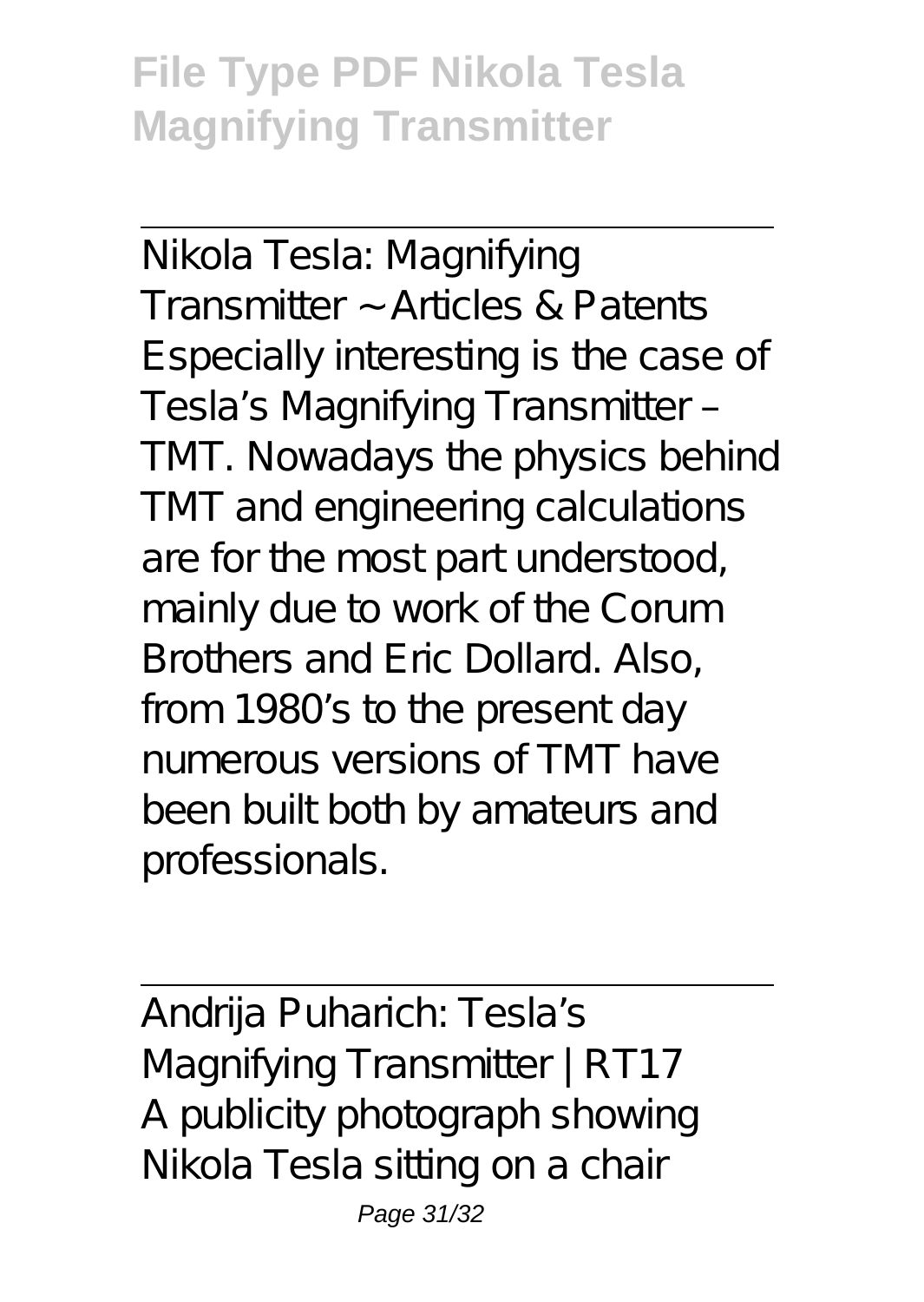Nikola Tesla: Magnifying Transmitter ~ Articles & Patents Especially interesting is the case of Tesla's Magnifying Transmitter – TMT. Nowadays the physics behind TMT and engineering calculations are for the most part understood, mainly due to work of the Corum Brothers and Eric Dollard. Also, from 1980's to the present day numerous versions of TMT have been built both by amateurs and professionals.

Andrija Puharich: Tesla's Magnifying Transmitter | RT17 A publicity photograph showing Nikola Tesla sitting on a chair